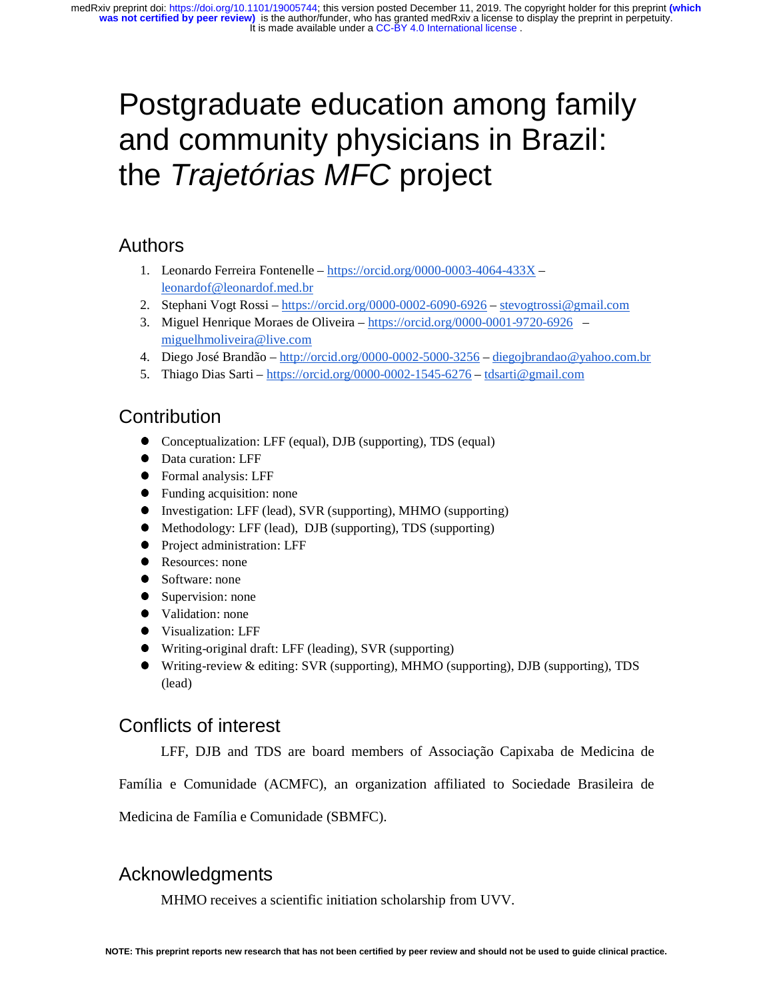# Postgraduate education among family and community physicians in Brazil: the *Trajetórias MFC* project

# Authors

- 1. Leonardo Ferreira Fontenelle https://orcid.org/0000-0003-4064-433X leonardof@leonardof.med.br
- 2. Stephani Vogt Rossi https://orcid.org/0000-0002-6090-6926 stevogtrossi@gmail.com
- 3. Miguel Henrique Moraes de Oliveira https://orcid.org/0000-0001-9720-6926 miguelhmoliveira@live.com
- 4. Diego José Brandão http://orcid.org/0000-0002-5000-3256 diegojbrandao@yahoo.com.br
- 5. Thiago Dias Sarti https://orcid.org/0000-0002-1545-6276 tdsarti@gmail.com

# **Contribution**

- Conceptualization: LFF (equal), DJB (supporting), TDS (equal)
- Data curation: LFF
- Formal analysis: LFF
- Funding acquisition: none
- 
- Investigation: LFF (lead), SVR (supporting), MHMO (supporting)<br>● Methodology: LFF (lead). DJB (supporting), TDS (supporting) Methodology: LFF (lead), DJB (supporting), TDS (supporting)
- Project administration: LFF
- Resources: none<br>• Software: none
- Software: none
- Supervision: none
- Validation: none
- Visualization: LFF
- Writing-original draft: LFF (leading), SVR (supporting)
- Writing-review & editing: SVR (supporting), MHMO (supporting), DJB (supporting), TDS (lead)

# Conflicts of interest

LFF, DJB and TDS are board members of Associação Capixaba de Medicina de

Família e Comunidade (ACMFC), an organization affiliated to Sociedade Brasileira de

Medicina de Família e Comunidade (SBMFC).

# Acknowledgments

MHMO receives a scientific initiation scholarship from UVV.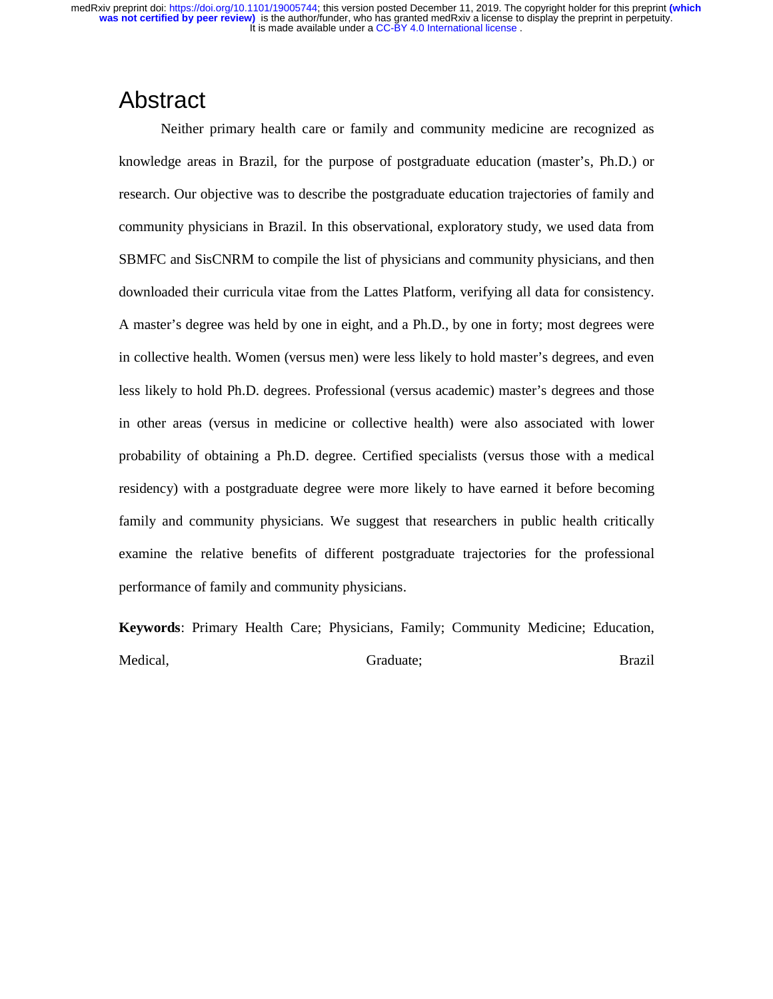# Abstract

Neither primary health care or family and community medicine are recognized as knowledge areas in Brazil, for the purpose of postgraduate education (master's, Ph.D.) or research. Our objective was to describe the postgraduate education trajectories of family and community physicians in Brazil. In this observational, exploratory study, we used data from SBMFC and SisCNRM to compile the list of physicians and community physicians, and then downloaded their curricula vitae from the Lattes Platform, verifying all data for consistency. A master's degree was held by one in eight, and a Ph.D., by one in forty; most degrees were in collective health. Women (versus men) were less likely to hold master's degrees, and even less likely to hold Ph.D. degrees. Professional (versus academic) master's degrees and those in other areas (versus in medicine or collective health) were also associated with lower probability of obtaining a Ph.D. degree. Certified specialists (versus those with a medical residency) with a postgraduate degree were more likely to have earned it before becoming family and community physicians. We suggest that researchers in public health critically examine the relative benefits of different postgraduate trajectories for the professional performance of family and community physicians.

**Keywords**: Primary Health Care; Physicians, Family; Community Medicine; Education, Medical, Brazil and Graduate; Graduate; Brazil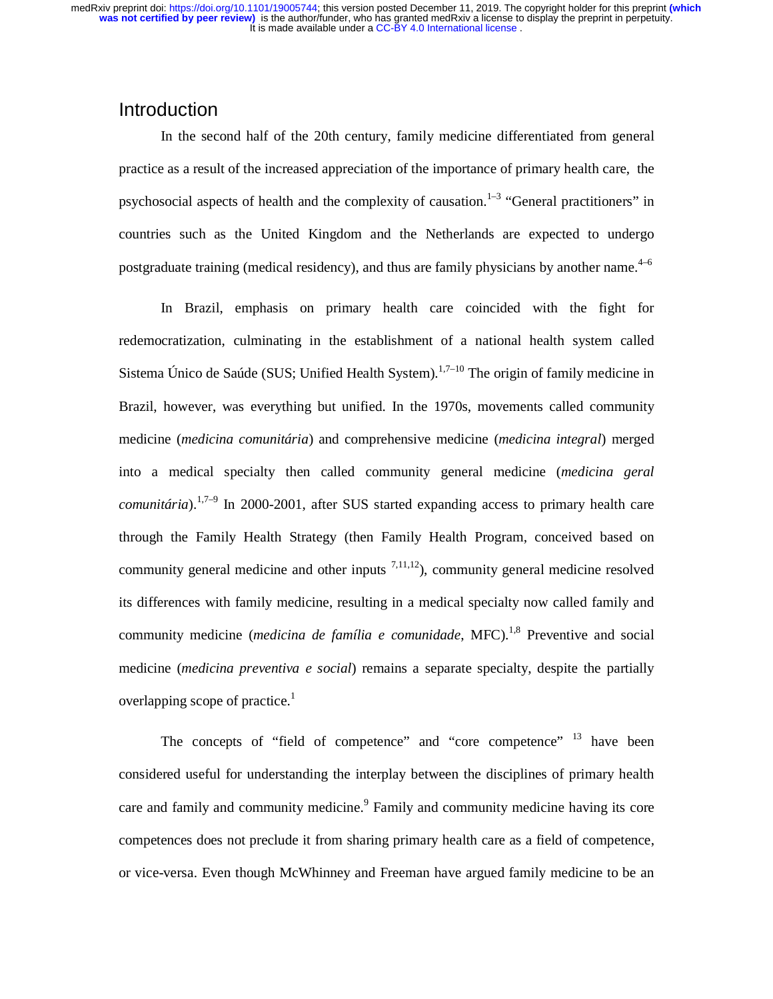### Introduction

In the second half of the 20th century, family medicine differentiated from general practice as a result of the increased appreciation of the importance of primary health care, the psychosocial aspects of health and the complexity of causation.<sup>1–3</sup> "General practitioners" in countries such as the United Kingdom and the Netherlands are expected to undergo postgraduate training (medical residency), and thus are family physicians by another name.<sup>4–6</sup>

In Brazil, emphasis on primary health care coincided with the fight for redemocratization, culminating in the establishment of a national health system called Sistema Único de Saúde (SUS; Unified Health System).<sup>1,7–10</sup> The origin of family medicine in Brazil, however, was everything but unified. In the 1970s, movements called community medicine (*medicina comunitária*) and comprehensive medicine (*medicina integral*) merged into a medical specialty then called community general medicine (*medicina geral comunitária*).<sup>1,7–9</sup> In 2000-2001, after SUS started expanding access to primary health care through the Family Health Strategy (then Family Health Program, conceived based on community general medicine and other inputs  $^{7,11,12}$ ), community general medicine resolved its differences with family medicine, resulting in a medical specialty now called family and community medicine (*medicina de família e comunidade*, MFC).<sup>1,8</sup> Preventive and social medicine (*medicina preventiva e social*) remains a separate specialty, despite the partially overlapping scope of practice.<sup>1</sup>

The concepts of "field of competence" and "core competence" <sup>13</sup> have been considered useful for understanding the interplay between the disciplines of primary health care and family and community medicine.<sup>9</sup> Family and community medicine having its core competences does not preclude it from sharing primary health care as a field of competence, or vice-versa. Even though McWhinney and Freeman have argued family medicine to be an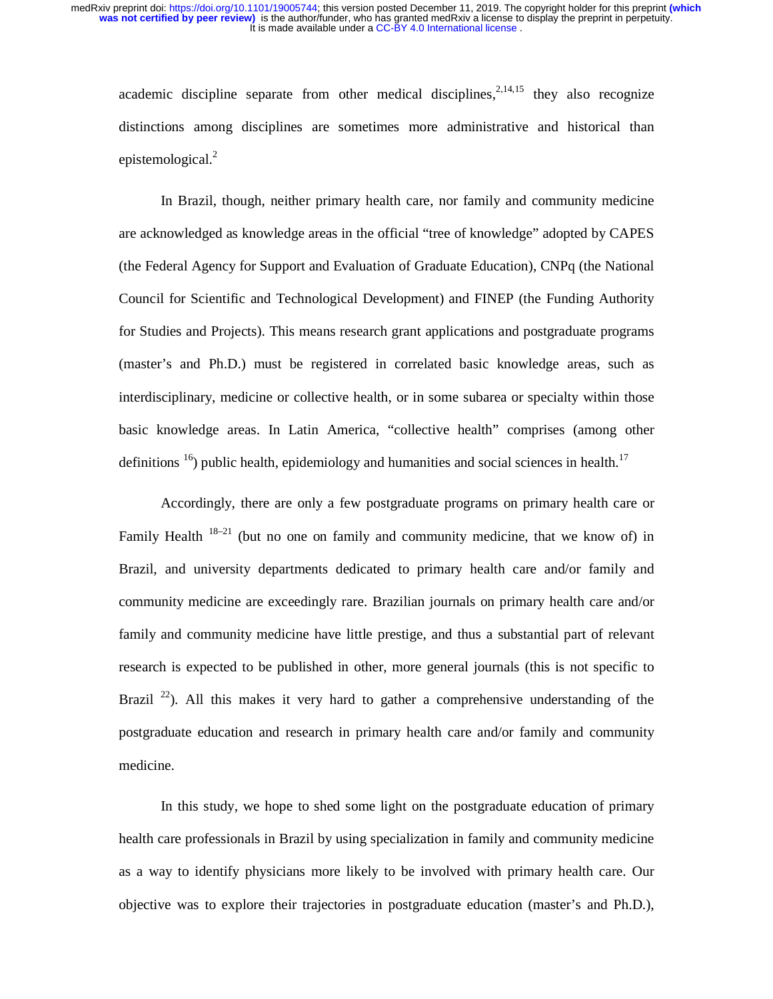academic discipline separate from other medical disciplines,  $2,14,15$  they also recognize distinctions among disciplines are sometimes more administrative and historical than epistemological.<sup>2</sup>

In Brazil, though, neither primary health care, nor family and community medicine are acknowledged as knowledge areas in the official "tree of knowledge" adopted by CAPES (the Federal Agency for Support and Evaluation of Graduate Education), CNPq (the National Council for Scientific and Technological Development) and FINEP (the Funding Authority for Studies and Projects). This means research grant applications and postgraduate programs (master's and Ph.D.) must be registered in correlated basic knowledge areas, such as interdisciplinary, medicine or collective health, or in some subarea or specialty within those basic knowledge areas. In Latin America, "collective health" comprises (among other definitions  $16$ ) public health, epidemiology and humanities and social sciences in health.<sup>17</sup>

Accordingly, there are only a few postgraduate programs on primary health care or Family Health  $18-21$  (but no one on family and community medicine, that we know of) in Brazil, and university departments dedicated to primary health care and/or family and community medicine are exceedingly rare. Brazilian journals on primary health care and/or family and community medicine have little prestige, and thus a substantial part of relevant research is expected to be published in other, more general journals (this is not specific to Brazil  $^{22}$ ). All this makes it very hard to gather a comprehensive understanding of the postgraduate education and research in primary health care and/or family and community medicine.

In this study, we hope to shed some light on the postgraduate education of primary health care professionals in Brazil by using specialization in family and community medicine as a way to identify physicians more likely to be involved with primary health care. Our objective was to explore their trajectories in postgraduate education (master's and Ph.D.),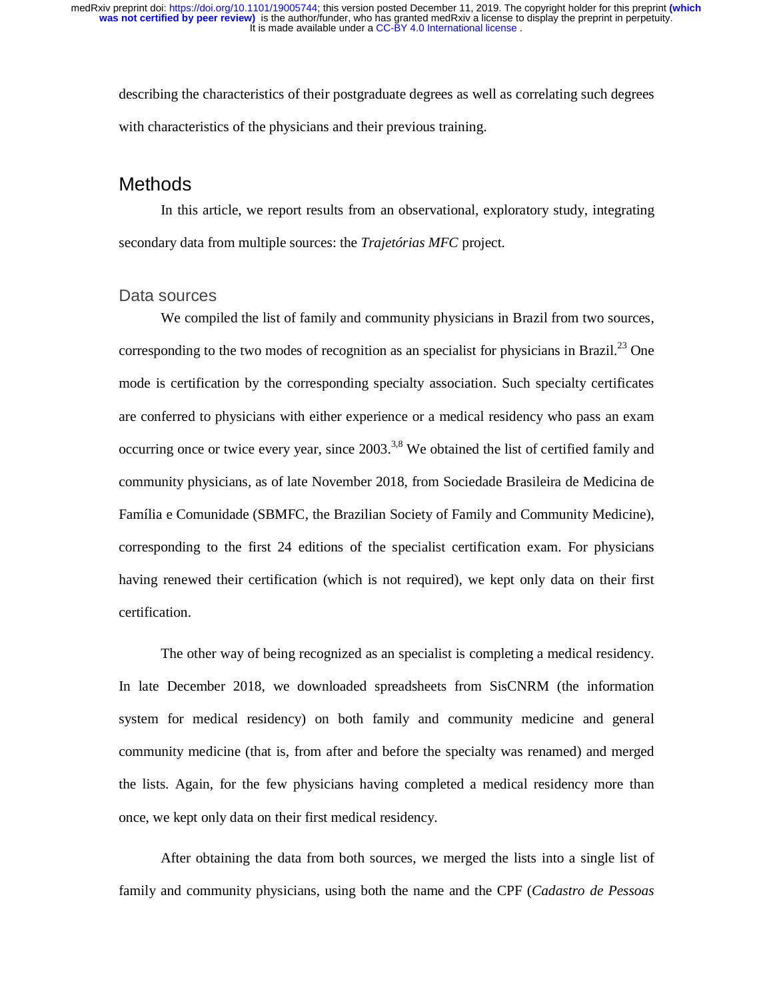describing the characteristics of their postgraduate degrees as well as correlating such degrees with characteristics of the physicians and their previous training.

## **Methods**

In this article, we report results from an observational, exploratory study, integrating secondary data from multiple sources: the *Trajetórias MFC* project.

### Data sources

We compiled the list of family and community physicians in Brazil from two sources, corresponding to the two modes of recognition as an specialist for physicians in Brazil.<sup>23</sup> One mode is certification by the corresponding specialty association. Such specialty certificates are conferred to physicians with either experience or a medical residency who pass an exam occurring once or twice every year, since  $2003$ <sup>3,8</sup> We obtained the list of certified family and community physicians, as of late November 2018, from Sociedade Brasileira de Medicina de Família e Comunidade (SBMFC, the Brazilian Society of Family and Community Medicine), corresponding to the first 24 editions of the specialist certification exam. For physicians having renewed their certification (which is not required), we kept only data on their first certification.

The other way of being recognized as an specialist is completing a medical residency. In late December 2018, we downloaded spreadsheets from SisCNRM (the information system for medical residency) on both family and community medicine and general community medicine (that is, from after and before the specialty was renamed) and merged the lists. Again, for the few physicians having completed a medical residency more than once, we kept only data on their first medical residency.

After obtaining the data from both sources, we merged the lists into a single list of family and community physicians, using both the name and the CPF (*Cadastro de Pessoas*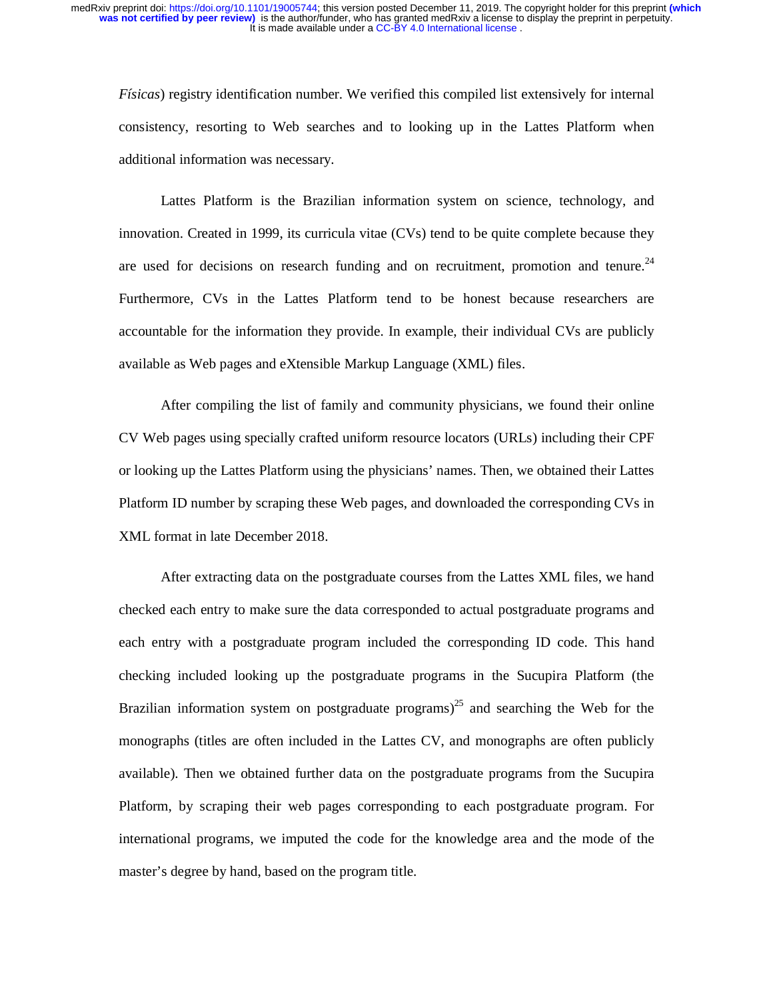*Físicas*) registry identification number. We verified this compiled list extensively for internal consistency, resorting to Web searches and to looking up in the Lattes Platform when additional information was necessary.

Lattes Platform is the Brazilian information system on science, technology, and innovation. Created in 1999, its curricula vitae (CVs) tend to be quite complete because they are used for decisions on research funding and on recruitment, promotion and tenure. $24$ Furthermore, CVs in the Lattes Platform tend to be honest because researchers are accountable for the information they provide. In example, their individual CVs are publicly available as Web pages and eXtensible Markup Language (XML) files.

After compiling the list of family and community physicians, we found their online CV Web pages using specially crafted uniform resource locators (URLs) including their CPF or looking up the Lattes Platform using the physicians' names. Then, we obtained their Lattes Platform ID number by scraping these Web pages, and downloaded the corresponding CVs in XML format in late December 2018.

After extracting data on the postgraduate courses from the Lattes XML files, we hand checked each entry to make sure the data corresponded to actual postgraduate programs and each entry with a postgraduate program included the corresponding ID code. This hand checking included looking up the postgraduate programs in the Sucupira Platform (the Brazilian information system on postgraduate programs)<sup>25</sup> and searching the Web for the monographs (titles are often included in the Lattes CV, and monographs are often publicly available). Then we obtained further data on the postgraduate programs from the Sucupira Platform, by scraping their web pages corresponding to each postgraduate program. For international programs, we imputed the code for the knowledge area and the mode of the master's degree by hand, based on the program title.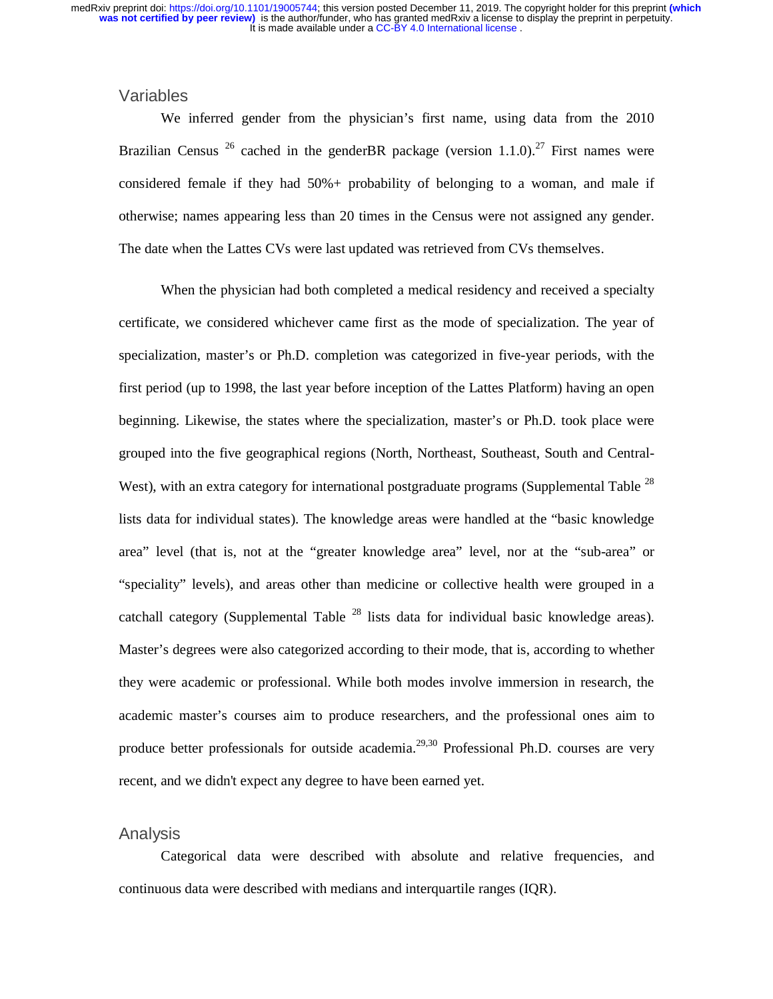### Variables

We inferred gender from the physician's first name, using data from the 2010 Brazilian Census <sup>26</sup> cached in the genderBR package (version 1.1.0).<sup>27</sup> First names were considered female if they had 50%+ probability of belonging to a woman, and male if otherwise; names appearing less than 20 times in the Census were not assigned any gender. The date when the Lattes CVs were last updated was retrieved from CVs themselves.

When the physician had both completed a medical residency and received a specialty certificate, we considered whichever came first as the mode of specialization. The year of specialization, master's or Ph.D. completion was categorized in five-year periods, with the first period (up to 1998, the last year before inception of the Lattes Platform) having an open beginning. Likewise, the states where the specialization, master's or Ph.D. took place were grouped into the five geographical regions (North, Northeast, Southeast, South and Central-West), with an extra category for international postgraduate programs (Supplemental Table<sup>28</sup> lists data for individual states). The knowledge areas were handled at the "basic knowledge area" level (that is, not at the "greater knowledge area" level, nor at the "sub-area" or "speciality" levels), and areas other than medicine or collective health were grouped in a catchall category (Supplemental Table  $^{28}$  lists data for individual basic knowledge areas). Master's degrees were also categorized according to their mode, that is, according to whether they were academic or professional. While both modes involve immersion in research, the academic master's courses aim to produce researchers, and the professional ones aim to produce better professionals for outside academia.<sup>29,30</sup> Professional Ph.D. courses are very recent, and we didn't expect any degree to have been earned yet.

### Analysis

Categorical data were described with absolute and relative frequencies, and continuous data were described with medians and interquartile ranges (IQR).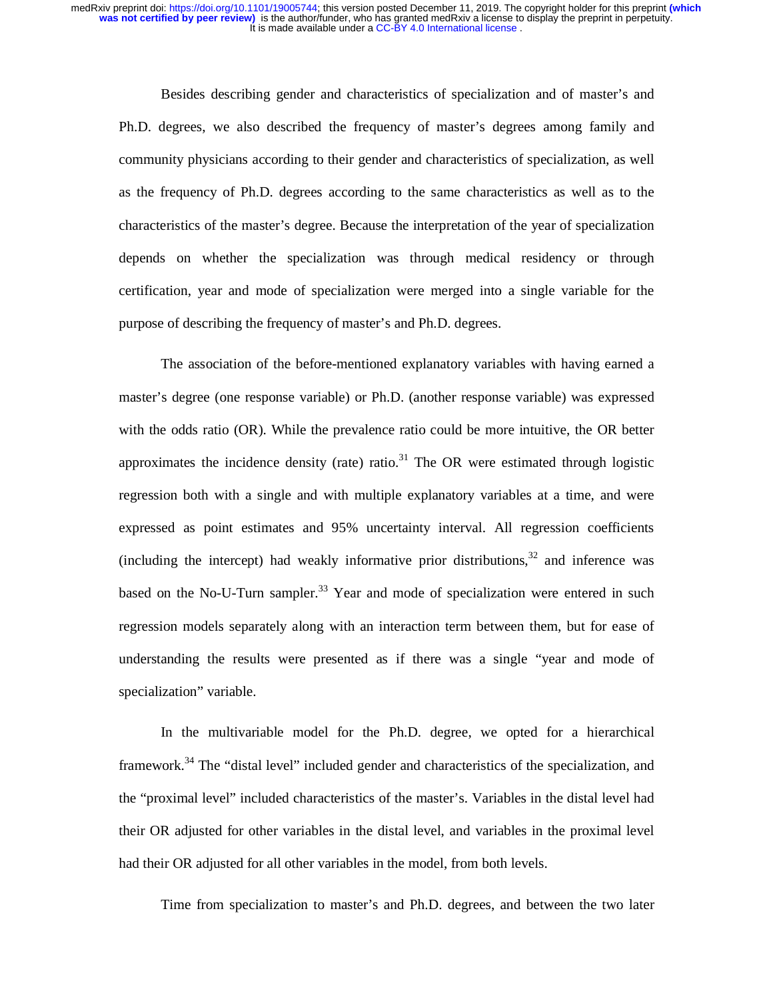Besides describing gender and characteristics of specialization and of master's and Ph.D. degrees, we also described the frequency of master's degrees among family and community physicians according to their gender and characteristics of specialization, as well as the frequency of Ph.D. degrees according to the same characteristics as well as to the characteristics of the master's degree. Because the interpretation of the year of specialization depends on whether the specialization was through medical residency or through certification, year and mode of specialization were merged into a single variable for the purpose of describing the frequency of master's and Ph.D. degrees.

The association of the before-mentioned explanatory variables with having earned a master's degree (one response variable) or Ph.D. (another response variable) was expressed with the odds ratio (OR). While the prevalence ratio could be more intuitive, the OR better approximates the incidence density (rate) ratio.<sup>31</sup> The OR were estimated through logistic regression both with a single and with multiple explanatory variables at a time, and were expressed as point estimates and 95% uncertainty interval. All regression coefficients (including the intercept) had weakly informative prior distributions.<sup>32</sup> and inference was based on the No-U-Turn sampler.<sup>33</sup> Year and mode of specialization were entered in such regression models separately along with an interaction term between them, but for ease of understanding the results were presented as if there was a single "year and mode of specialization" variable.

In the multivariable model for the Ph.D. degree, we opted for a hierarchical framework.<sup>34</sup> The "distal level" included gender and characteristics of the specialization, and the "proximal level" included characteristics of the master's. Variables in the distal level had their OR adjusted for other variables in the distal level, and variables in the proximal level had their OR adjusted for all other variables in the model, from both levels.

Time from specialization to master's and Ph.D. degrees, and between the two later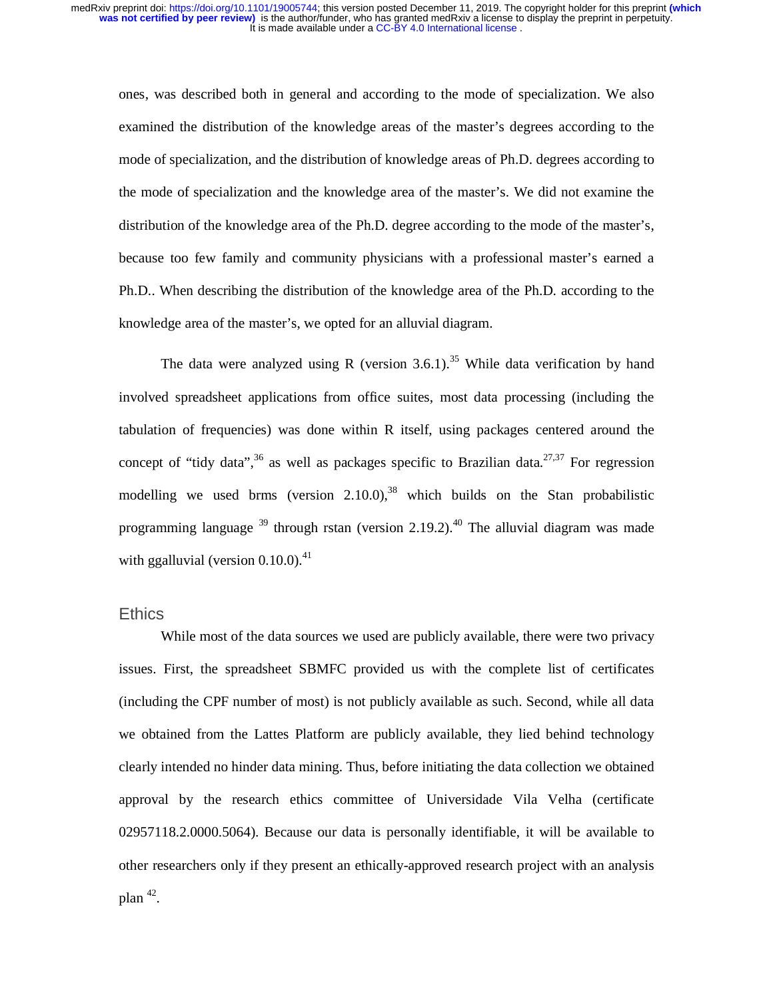ones, was described both in general and according to the mode of specialization. We also examined the distribution of the knowledge areas of the master's degrees according to the mode of specialization, and the distribution of knowledge areas of Ph.D. degrees according to the mode of specialization and the knowledge area of the master's. We did not examine the distribution of the knowledge area of the Ph.D. degree according to the mode of the master's, because too few family and community physicians with a professional master's earned a Ph.D.. When describing the distribution of the knowledge area of the Ph.D. according to the knowledge area of the master's, we opted for an alluvial diagram.

The data were analyzed using R (version 3.6.1).<sup>35</sup> While data verification by hand involved spreadsheet applications from office suites, most data processing (including the tabulation of frequencies) was done within R itself, using packages centered around the concept of "tidy data",<sup>36</sup> as well as packages specific to Brazilian data.<sup>27,37</sup> For regression modelling we used brms (version  $2.10.0$ ),<sup>38</sup> which builds on the Stan probabilistic programming language  $39$  through rstan (version 2.19.2).<sup>40</sup> The alluvial diagram was made with ggalluvial (version  $0.10.0$ ).<sup>41</sup>

### **Ethics**

While most of the data sources we used are publicly available, there were two privacy issues. First, the spreadsheet SBMFC provided us with the complete list of certificates (including the CPF number of most) is not publicly available as such. Second, while all data we obtained from the Lattes Platform are publicly available, they lied behind technology clearly intended no hinder data mining. Thus, before initiating the data collection we obtained approval by the research ethics committee of Universidade Vila Velha (certificate 02957118.2.0000.5064). Because our data is personally identifiable, it will be available to other researchers only if they present an ethically-approved research project with an analysis plan  $42$ .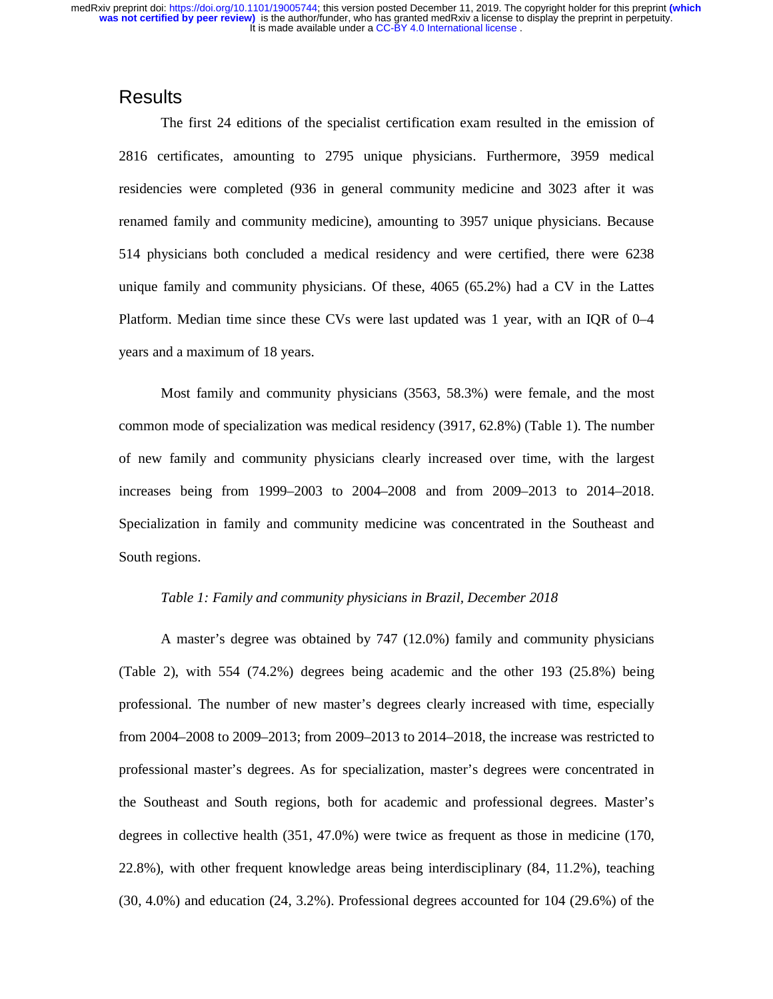### **Results**

The first 24 editions of the specialist certification exam resulted in the emission of 2816 certificates, amounting to 2795 unique physicians. Furthermore, 3959 medical residencies were completed (936 in general community medicine and 3023 after it was renamed family and community medicine), amounting to 3957 unique physicians. Because 514 physicians both concluded a medical residency and were certified, there were 6238 unique family and community physicians. Of these, 4065 (65.2%) had a CV in the Lattes Platform. Median time since these CVs were last updated was 1 year, with an IQR of 0–4 years and a maximum of 18 years.

Most family and community physicians (3563, 58.3%) were female, and the most common mode of specialization was medical residency (3917, 62.8%) (Table 1). The number of new family and community physicians clearly increased over time, with the largest increases being from 1999–2003 to 2004–2008 and from 2009–2013 to 2014–2018. Specialization in family and community medicine was concentrated in the Southeast and South regions.

### *Table 1: Family and community physicians in Brazil, December 2018*

A master's degree was obtained by 747 (12.0%) family and community physicians (Table 2), with 554 (74.2%) degrees being academic and the other 193 (25.8%) being professional. The number of new master's degrees clearly increased with time, especially from 2004–2008 to 2009–2013; from 2009–2013 to 2014–2018, the increase was restricted to professional master's degrees. As for specialization, master's degrees were concentrated in the Southeast and South regions, both for academic and professional degrees. Master's degrees in collective health (351, 47.0%) were twice as frequent as those in medicine (170, 22.8%), with other frequent knowledge areas being interdisciplinary (84, 11.2%), teaching (30, 4.0%) and education (24, 3.2%). Professional degrees accounted for 104 (29.6%) of the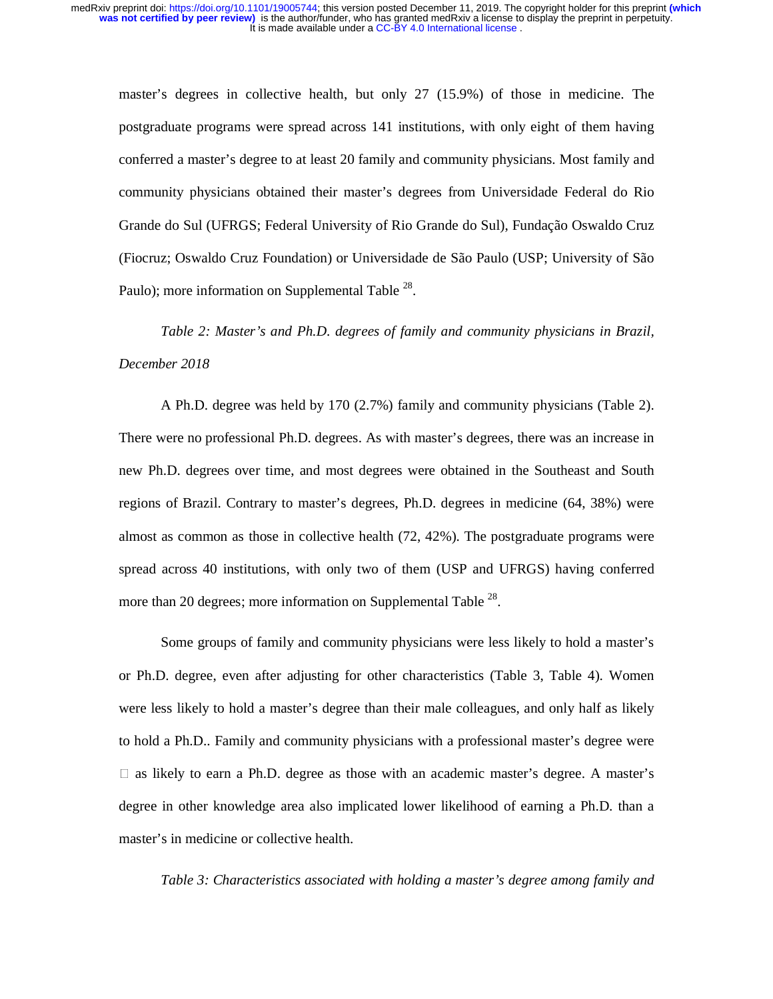master's degrees in collective health, but only 27 (15.9%) of those in medicine. The postgraduate programs were spread across 141 institutions, with only eight of them having conferred a master's degree to at least 20 family and community physicians. Most family and community physicians obtained their master's degrees from Universidade Federal do Rio Grande do Sul (UFRGS; Federal University of Rio Grande do Sul), Fundação Oswaldo Cruz (Fiocruz; Oswaldo Cruz Foundation) or Universidade de São Paulo (USP; University of São Paulo); more information on Supplemental Table <sup>28</sup>.

*Table 2: Master's and Ph.D. degrees of family and community physicians in Brazil, December 2018* 

A Ph.D. degree was held by 170 (2.7%) family and community physicians (Table 2). There were no professional Ph.D. degrees. As with master's degrees, there was an increase in new Ph.D. degrees over time, and most degrees were obtained in the Southeast and South regions of Brazil. Contrary to master's degrees, Ph.D. degrees in medicine (64, 38%) were almost as common as those in collective health (72, 42%). The postgraduate programs were spread across 40 institutions, with only two of them (USP and UFRGS) having conferred more than 20 degrees; more information on Supplemental Table <sup>28</sup>.

Some groups of family and community physicians were less likely to hold a master's or Ph.D. degree, even after adjusting for other characteristics (Table 3, Table 4). Women were less likely to hold a master's degree than their male colleagues, and only half as likely to hold a Ph.D.. Family and community physicians with a professional master's degree were  $\Box$  as likely to earn a Ph.D. degree as those with an academic master's degree. A master's degree in other knowledge area also implicated lower likelihood of earning a Ph.D. than a master's in medicine or collective health.

*Table 3: Characteristics associated with holding a master's degree among family and*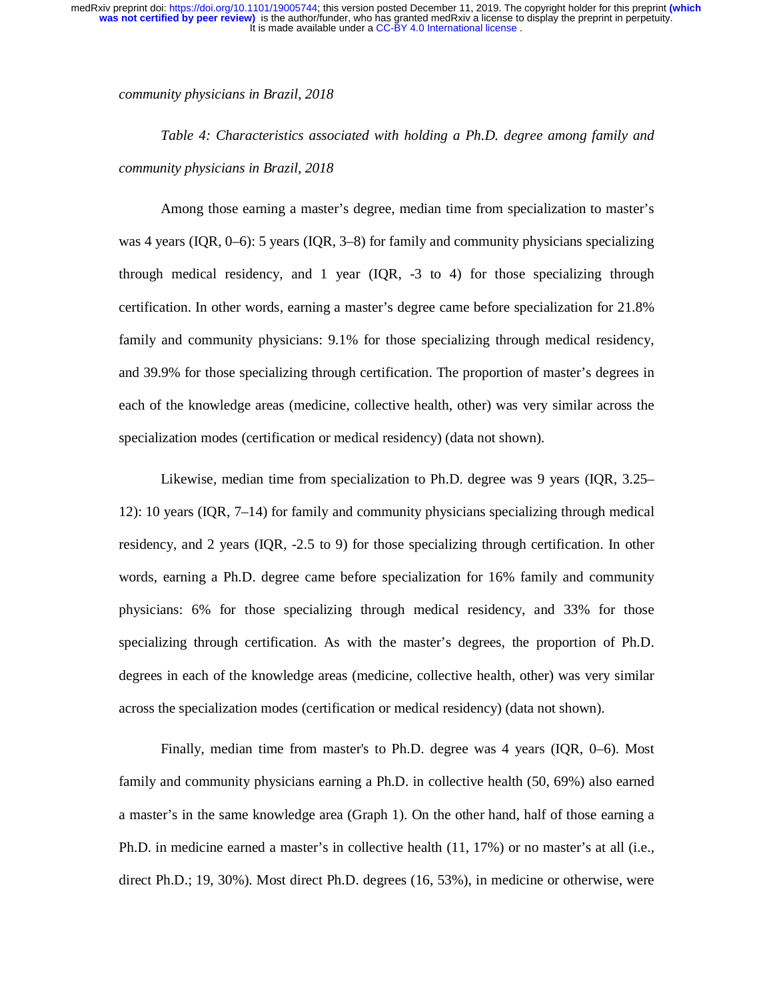*community physicians in Brazil, 2018* 

*Table 4: Characteristics associated with holding a Ph.D. degree among family and community physicians in Brazil, 2018* 

Among those earning a master's degree, median time from specialization to master's was 4 years (IQR, 0–6): 5 years (IQR, 3–8) for family and community physicians specializing through medical residency, and 1 year (IQR, -3 to 4) for those specializing through certification. In other words, earning a master's degree came before specialization for 21.8% family and community physicians: 9.1% for those specializing through medical residency, and 39.9% for those specializing through certification. The proportion of master's degrees in each of the knowledge areas (medicine, collective health, other) was very similar across the specialization modes (certification or medical residency) (data not shown).

Likewise, median time from specialization to Ph.D. degree was 9 years (IQR, 3.25– 12): 10 years (IQR, 7–14) for family and community physicians specializing through medical residency, and 2 years (IQR, -2.5 to 9) for those specializing through certification. In other words, earning a Ph.D. degree came before specialization for 16% family and community physicians: 6% for those specializing through medical residency, and 33% for those specializing through certification. As with the master's degrees, the proportion of Ph.D. degrees in each of the knowledge areas (medicine, collective health, other) was very similar across the specialization modes (certification or medical residency) (data not shown).

Finally, median time from master's to Ph.D. degree was 4 years (IQR, 0–6). Most family and community physicians earning a Ph.D. in collective health (50, 69%) also earned a master's in the same knowledge area (Graph 1). On the other hand, half of those earning a Ph.D. in medicine earned a master's in collective health (11, 17%) or no master's at all (i.e., direct Ph.D.; 19, 30%). Most direct Ph.D. degrees (16, 53%), in medicine or otherwise, were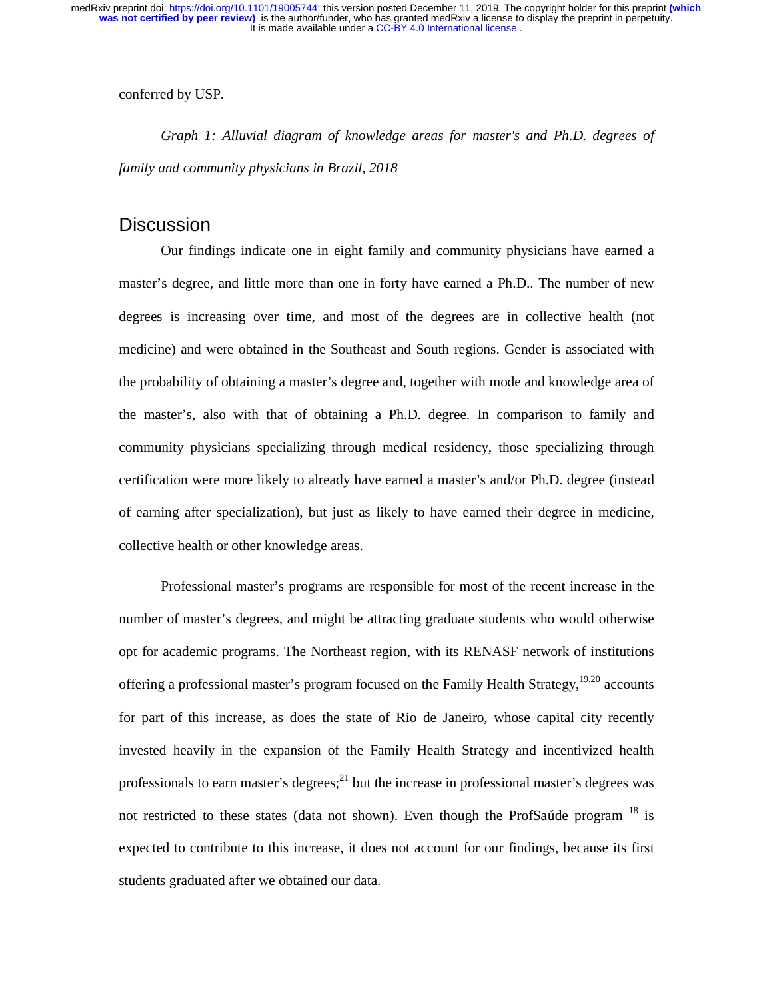conferred by USP.

*Graph 1: Alluvial diagram of knowledge areas for master's and Ph.D. degrees of family and community physicians in Brazil, 2018* 

### **Discussion**

Our findings indicate one in eight family and community physicians have earned a master's degree, and little more than one in forty have earned a Ph.D.. The number of new degrees is increasing over time, and most of the degrees are in collective health (not medicine) and were obtained in the Southeast and South regions. Gender is associated with the probability of obtaining a master's degree and, together with mode and knowledge area of the master's, also with that of obtaining a Ph.D. degree. In comparison to family and community physicians specializing through medical residency, those specializing through certification were more likely to already have earned a master's and/or Ph.D. degree (instead of earning after specialization), but just as likely to have earned their degree in medicine, collective health or other knowledge areas.

Professional master's programs are responsible for most of the recent increase in the number of master's degrees, and might be attracting graduate students who would otherwise opt for academic programs. The Northeast region, with its RENASF network of institutions offering a professional master's program focused on the Family Health Strategy,<sup>19,20</sup> accounts for part of this increase, as does the state of Rio de Janeiro, whose capital city recently invested heavily in the expansion of the Family Health Strategy and incentivized health professionals to earn master's degrees; $^{21}$  but the increase in professional master's degrees was not restricted to these states (data not shown). Even though the ProfSaúde program  $<sup>18</sup>$  is</sup> expected to contribute to this increase, it does not account for our findings, because its first students graduated after we obtained our data.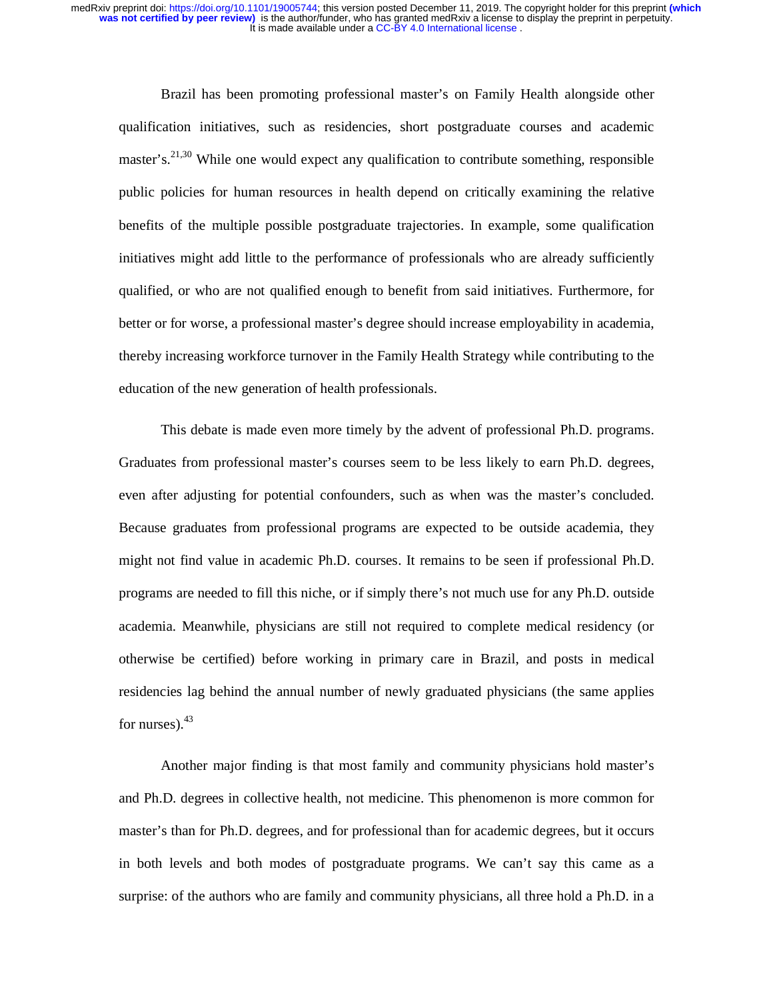Brazil has been promoting professional master's on Family Health alongside other qualification initiatives, such as residencies, short postgraduate courses and academic master's.<sup>21,30</sup> While one would expect any qualification to contribute something, responsible public policies for human resources in health depend on critically examining the relative benefits of the multiple possible postgraduate trajectories. In example, some qualification initiatives might add little to the performance of professionals who are already sufficiently qualified, or who are not qualified enough to benefit from said initiatives. Furthermore, for better or for worse, a professional master's degree should increase employability in academia, thereby increasing workforce turnover in the Family Health Strategy while contributing to the education of the new generation of health professionals.

This debate is made even more timely by the advent of professional Ph.D. programs. Graduates from professional master's courses seem to be less likely to earn Ph.D. degrees, even after adjusting for potential confounders, such as when was the master's concluded. Because graduates from professional programs are expected to be outside academia, they might not find value in academic Ph.D. courses. It remains to be seen if professional Ph.D. programs are needed to fill this niche, or if simply there's not much use for any Ph.D. outside academia. Meanwhile, physicians are still not required to complete medical residency (or otherwise be certified) before working in primary care in Brazil, and posts in medical residencies lag behind the annual number of newly graduated physicians (the same applies for nurses). $43$ 

Another major finding is that most family and community physicians hold master's and Ph.D. degrees in collective health, not medicine. This phenomenon is more common for master's than for Ph.D. degrees, and for professional than for academic degrees, but it occurs in both levels and both modes of postgraduate programs. We can't say this came as a surprise: of the authors who are family and community physicians, all three hold a Ph.D. in a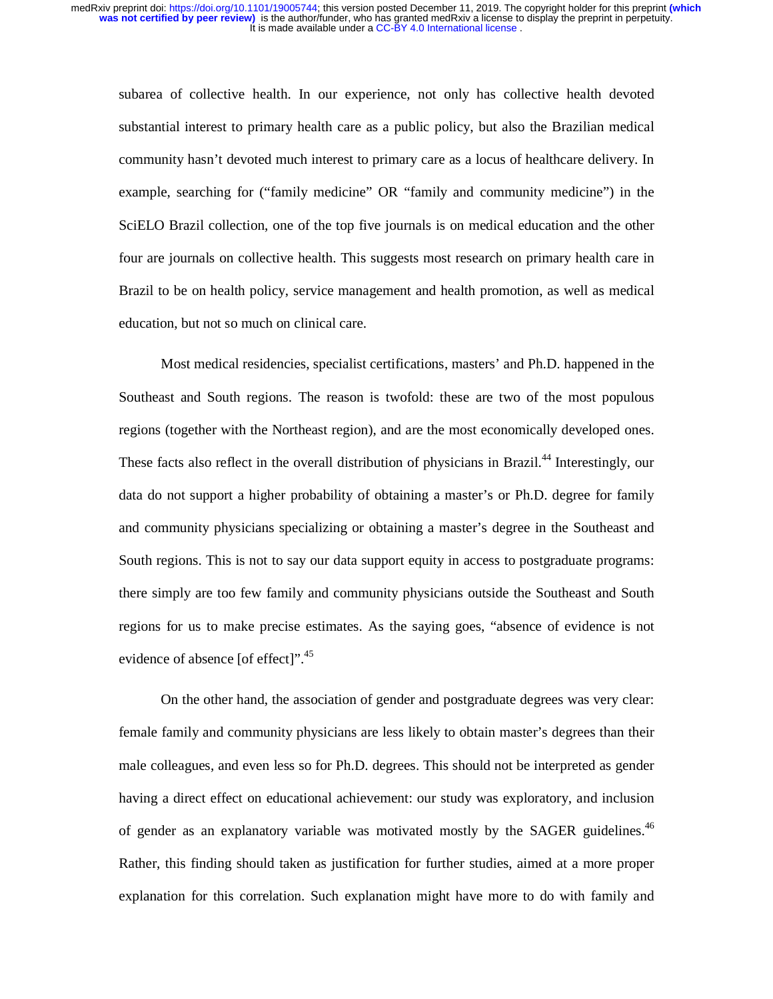subarea of collective health. In our experience, not only has collective health devoted substantial interest to primary health care as a public policy, but also the Brazilian medical community hasn't devoted much interest to primary care as a locus of healthcare delivery. In example, searching for ("family medicine" OR "family and community medicine") in the SciELO Brazil collection, one of the top five journals is on medical education and the other four are journals on collective health. This suggests most research on primary health care in Brazil to be on health policy, service management and health promotion, as well as medical education, but not so much on clinical care.

Most medical residencies, specialist certifications, masters' and Ph.D. happened in the Southeast and South regions. The reason is twofold: these are two of the most populous regions (together with the Northeast region), and are the most economically developed ones. These facts also reflect in the overall distribution of physicians in Brazil.<sup>44</sup> Interestingly, our data do not support a higher probability of obtaining a master's or Ph.D. degree for family and community physicians specializing or obtaining a master's degree in the Southeast and South regions. This is not to say our data support equity in access to postgraduate programs: there simply are too few family and community physicians outside the Southeast and South regions for us to make precise estimates. As the saying goes, "absence of evidence is not evidence of absence [of effect]".<sup>45</sup>

On the other hand, the association of gender and postgraduate degrees was very clear: female family and community physicians are less likely to obtain master's degrees than their male colleagues, and even less so for Ph.D. degrees. This should not be interpreted as gender having a direct effect on educational achievement: our study was exploratory, and inclusion of gender as an explanatory variable was motivated mostly by the SAGER guidelines.<sup>46</sup> Rather, this finding should taken as justification for further studies, aimed at a more proper explanation for this correlation. Such explanation might have more to do with family and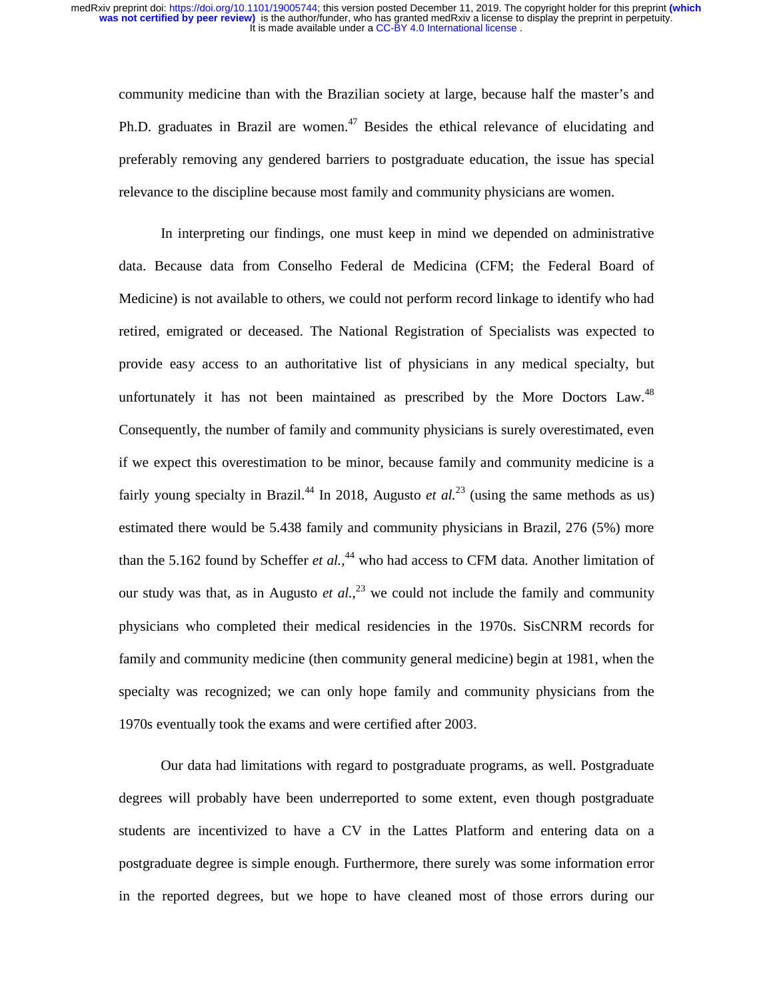community medicine than with the Brazilian society at large, because half the master's and Ph.D. graduates in Brazil are women. $^{47}$  Besides the ethical relevance of elucidating and preferably removing any gendered barriers to postgraduate education, the issue has special relevance to the discipline because most family and community physicians are women.

In interpreting our findings, one must keep in mind we depended on administrative data. Because data from Conselho Federal de Medicina (CFM; the Federal Board of Medicine) is not available to others, we could not perform record linkage to identify who had retired, emigrated or deceased. The National Registration of Specialists was expected to provide easy access to an authoritative list of physicians in any medical specialty, but unfortunately it has not been maintained as prescribed by the More Doctors Law.<sup>48</sup> Consequently, the number of family and community physicians is surely overestimated, even if we expect this overestimation to be minor, because family and community medicine is a fairly young specialty in Brazil.<sup>44</sup> In 2018, Augusto *et al.*<sup>23</sup> (using the same methods as us) estimated there would be 5.438 family and community physicians in Brazil, 276 (5%) more than the 5.162 found by Scheffer *et al.*,<sup>44</sup> who had access to CFM data. Another limitation of our study was that, as in Augusto *et al.*, 23 we could not include the family and community physicians who completed their medical residencies in the 1970s. SisCNRM records for family and community medicine (then community general medicine) begin at 1981, when the specialty was recognized; we can only hope family and community physicians from the 1970s eventually took the exams and were certified after 2003.

Our data had limitations with regard to postgraduate programs, as well. Postgraduate degrees will probably have been underreported to some extent, even though postgraduate students are incentivized to have a CV in the Lattes Platform and entering data on a postgraduate degree is simple enough. Furthermore, there surely was some information error in the reported degrees, but we hope to have cleaned most of those errors during our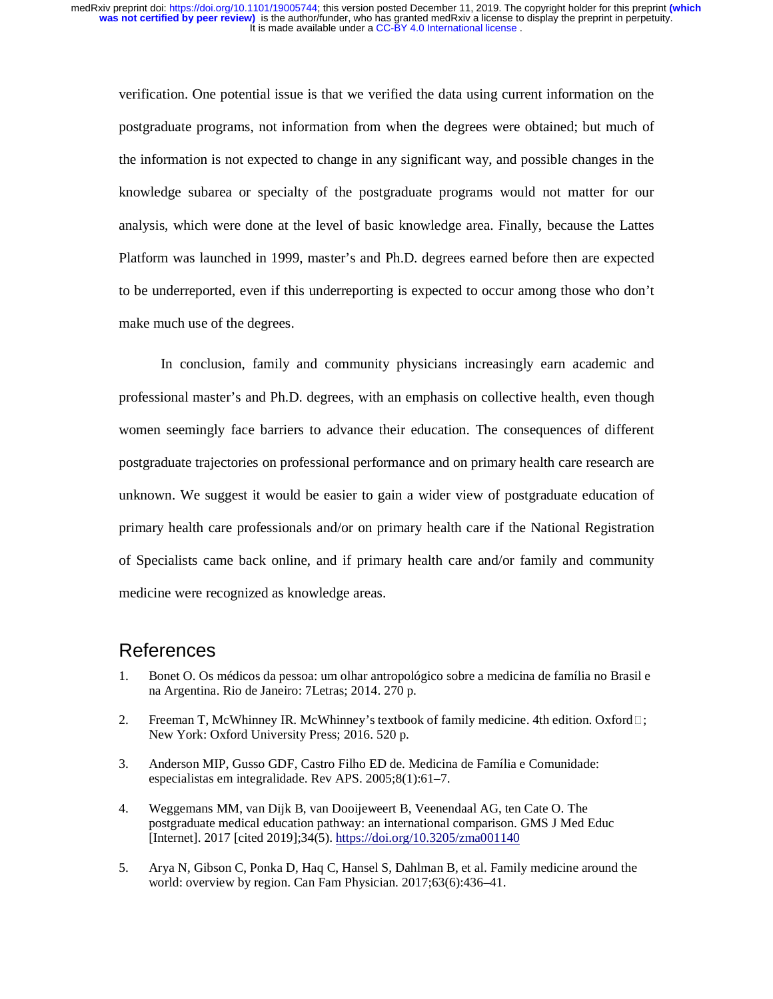verification. One potential issue is that we verified the data using current information on the postgraduate programs, not information from when the degrees were obtained; but much of the information is not expected to change in any significant way, and possible changes in the knowledge subarea or specialty of the postgraduate programs would not matter for our analysis, which were done at the level of basic knowledge area. Finally, because the Lattes Platform was launched in 1999, master's and Ph.D. degrees earned before then are expected to be underreported, even if this underreporting is expected to occur among those who don't make much use of the degrees.

In conclusion, family and community physicians increasingly earn academic and professional master's and Ph.D. degrees, with an emphasis on collective health, even though women seemingly face barriers to advance their education. The consequences of different postgraduate trajectories on professional performance and on primary health care research are unknown. We suggest it would be easier to gain a wider view of postgraduate education of primary health care professionals and/or on primary health care if the National Registration of Specialists came back online, and if primary health care and/or family and community medicine were recognized as knowledge areas.

# References

- 1. Bonet O. Os médicos da pessoa: um olhar antropológico sobre a medicina de família no Brasil e na Argentina. Rio de Janeiro: 7Letras; 2014. 270 p.
- 2. Freeman T, McWhinney IR. McWhinney's textbook of family medicine. 4th edition. Oxford  $\square$ ; New York: Oxford University Press; 2016. 520 p.
- 3. Anderson MIP, Gusso GDF, Castro Filho ED de. Medicina de Família e Comunidade: especialistas em integralidade. Rev APS. 2005;8(1):61–7.
- 4. Weggemans MM, van Dijk B, van Dooijeweert B, Veenendaal AG, ten Cate O. The postgraduate medical education pathway: an international comparison. GMS J Med Educ [Internet]. 2017 [cited 2019];34(5). https://doi.org/10.3205/zma001140
- 5. Arya N, Gibson C, Ponka D, Haq C, Hansel S, Dahlman B, et al. Family medicine around the world: overview by region. Can Fam Physician. 2017;63(6):436–41.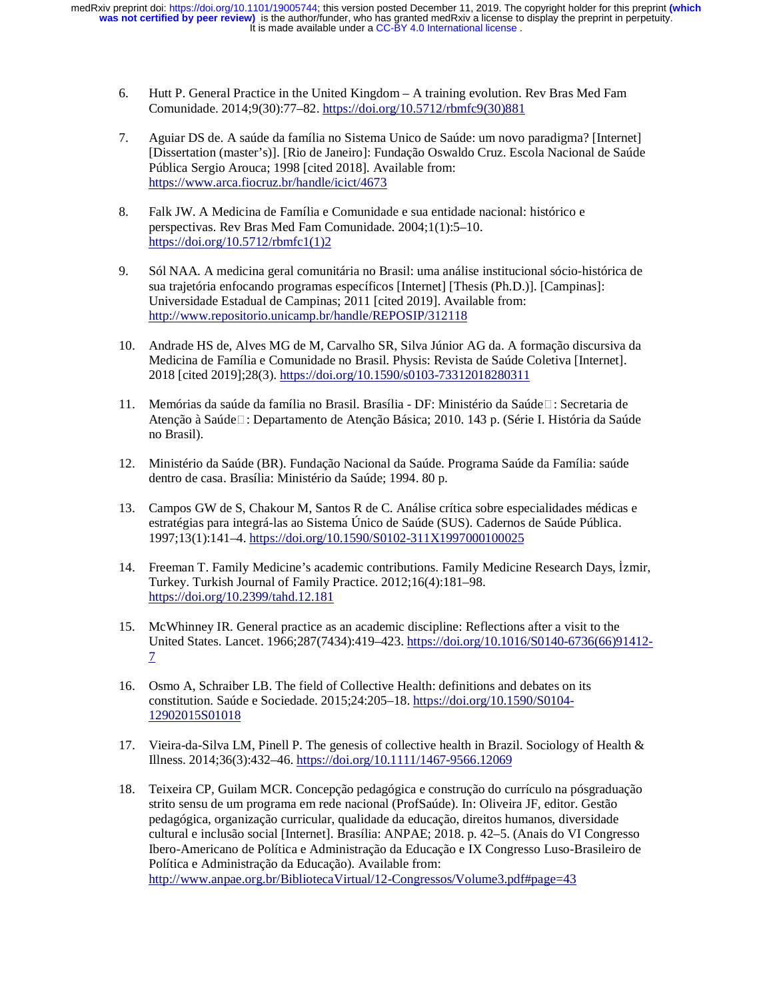- 6. Hutt P. General Practice in the United Kingdom A training evolution. Rev Bras Med Fam Comunidade. 2014;9(30):77–82. https://doi.org/10.5712/rbmfc9(30)881
- 7. Aguiar DS de. A saúde da família no Sistema Unico de Saúde: um novo paradigma? [Internet] [Dissertation (master's)]. [Rio de Janeiro]: Fundação Oswaldo Cruz. Escola Nacional de Saúde Pública Sergio Arouca; 1998 [cited 2018]. Available from: https://www.arca.fiocruz.br/handle/icict/4673
- 8. Falk JW. A Medicina de Família e Comunidade e sua entidade nacional: histórico e perspectivas. Rev Bras Med Fam Comunidade. 2004;1(1):5–10. https://doi.org/10.5712/rbmfc1(1)2
- 9. Sól NAA. A medicina geral comunitária no Brasil: uma análise institucional sócio-histórica de sua trajetória enfocando programas específicos [Internet] [Thesis (Ph.D.)]. [Campinas]: Universidade Estadual de Campinas; 2011 [cited 2019]. Available from: http://www.repositorio.unicamp.br/handle/REPOSIP/312118
- 10. Andrade HS de, Alves MG de M, Carvalho SR, Silva Júnior AG da. A formação discursiva da Medicina de Família e Comunidade no Brasil. Physis: Revista de Saúde Coletiva [Internet]. 2018 [cited 2019];28(3). https://doi.org/10.1590/s0103-73312018280311
- 11. Memórias da saúde da família no Brasil. Brasília DF: Ministério da Saúde $\Box$ : Secretaria de Atenção à Saúde□: Departamento de Atenção Básica; 2010. 143 p. (Série I. História da Saúde no Brasil).
- 12. Ministério da Saúde (BR). Fundação Nacional da Saúde. Programa Saúde da Família: saúde dentro de casa. Brasília: Ministério da Saúde; 1994. 80 p.
- 13. Campos GW de S, Chakour M, Santos R de C. Análise crítica sobre especialidades médicas e estratégias para integrá-las ao Sistema Único de Saúde (SUS). Cadernos de Saúde Pública. 1997;13(1):141–4. https://doi.org/10.1590/S0102-311X1997000100025
- 14. Freeman T. Family Medicine's academic contributions. Family Medicine Research Days, İzmir, Turkey. Turkish Journal of Family Practice. 2012;16(4):181–98. https://doi.org/10.2399/tahd.12.181
- 15. McWhinney IR. General practice as an academic discipline: Reflections after a visit to the United States. Lancet. 1966;287(7434):419–423. https://doi.org/10.1016/S0140-6736(66)91412- 7
- 16. Osmo A, Schraiber LB. The field of Collective Health: definitions and debates on its constitution. Saúde e Sociedade. 2015;24:205–18. https://doi.org/10.1590/S0104- 12902015S01018
- 17. Vieira-da-Silva LM, Pinell P. The genesis of collective health in Brazil. Sociology of Health & Illness. 2014;36(3):432–46. https://doi.org/10.1111/1467-9566.12069
- 18. Teixeira CP, Guilam MCR. Concepção pedagógica e construção do currículo na pósgraduação strito sensu de um programa em rede nacional (ProfSaúde). In: Oliveira JF, editor. Gestão pedagógica, organização curricular, qualidade da educação, direitos humanos, diversidade cultural e inclusão social [Internet]. Brasília: ANPAE; 2018. p. 42–5. (Anais do VI Congresso Ibero-Americano de Política e Administração da Educação e IX Congresso Luso-Brasileiro de Política e Administração da Educação). Available from: http://www.anpae.org.br/BibliotecaVirtual/12-Congressos/Volume3.pdf#page=43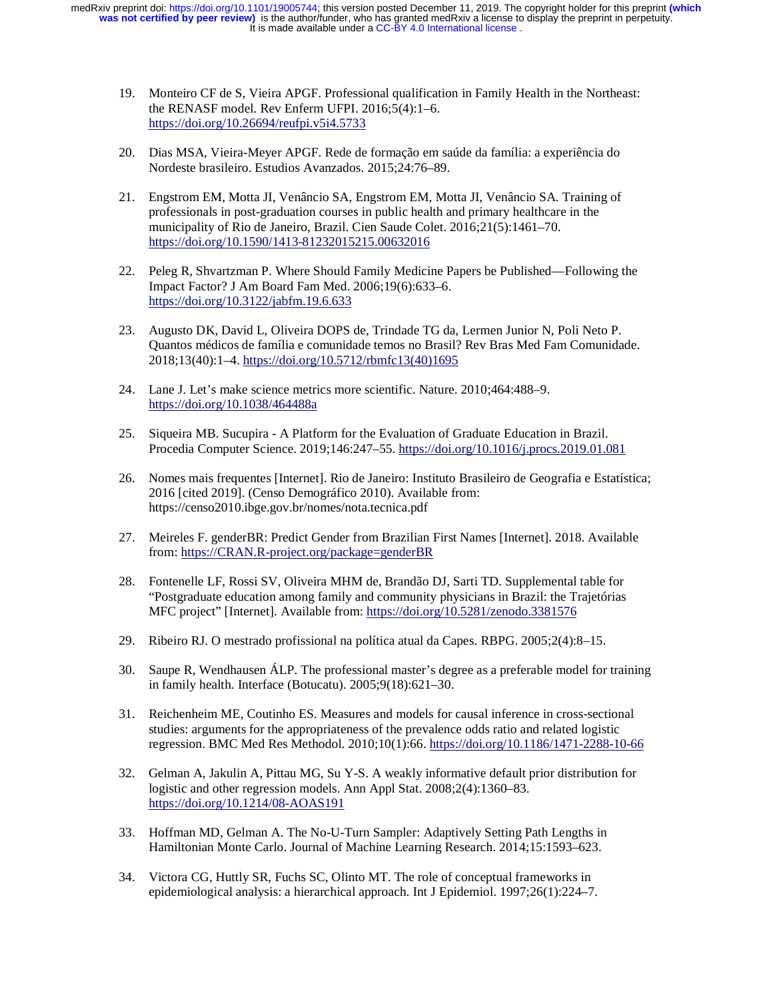- 19. Monteiro CF de S, Vieira APGF. Professional qualification in Family Health in the Northeast: the RENASF model. Rev Enferm UFPI. 2016;5(4):1–6. https://doi.org/10.26694/reufpi.v5i4.5733
- 20. Dias MSA, Vieira-Meyer APGF. Rede de formação em saúde da família: a experiência do Nordeste brasileiro. Estudios Avanzados. 2015;24:76–89.
- 21. Engstrom EM, Motta JI, Venâncio SA, Engstrom EM, Motta JI, Venâncio SA. Training of professionals in post-graduation courses in public health and primary healthcare in the municipality of Rio de Janeiro, Brazil. Cien Saude Colet. 2016;21(5):1461–70. https://doi.org/10.1590/1413-81232015215.00632016
- 22. Peleg R, Shvartzman P. Where Should Family Medicine Papers be Published—Following the Impact Factor? J Am Board Fam Med. 2006;19(6):633–6. https://doi.org/10.3122/jabfm.19.6.633
- 23. Augusto DK, David L, Oliveira DOPS de, Trindade TG da, Lermen Junior N, Poli Neto P. Quantos médicos de família e comunidade temos no Brasil? Rev Bras Med Fam Comunidade. 2018;13(40):1–4. https://doi.org/10.5712/rbmfc13(40)1695
- 24. Lane J. Let's make science metrics more scientific. Nature. 2010;464:488–9. https://doi.org/10.1038/464488a
- 25. Siqueira MB. Sucupira A Platform for the Evaluation of Graduate Education in Brazil. Procedia Computer Science. 2019;146:247–55. https://doi.org/10.1016/j.procs.2019.01.081
- 26. Nomes mais frequentes [Internet]. Rio de Janeiro: Instituto Brasileiro de Geografia e Estatística; 2016 [cited 2019]. (Censo Demográfico 2010). Available from: https://censo2010.ibge.gov.br/nomes/nota.tecnica.pdf
- 27. Meireles F. genderBR: Predict Gender from Brazilian First Names [Internet]. 2018. Available from: https://CRAN.R-project.org/package=genderBR
- 28. Fontenelle LF, Rossi SV, Oliveira MHM de, Brandão DJ, Sarti TD. Supplemental table for "Postgraduate education among family and community physicians in Brazil: the Trajetórias MFC project" [Internet]. Available from: https://doi.org/10.5281/zenodo.3381576
- 29. Ribeiro RJ. O mestrado profissional na política atual da Capes. RBPG. 2005;2(4):8–15.
- 30. Saupe R, Wendhausen ÁLP. The professional master's degree as a preferable model for training in family health. Interface (Botucatu). 2005;9(18):621–30.
- 31. Reichenheim ME, Coutinho ES. Measures and models for causal inference in cross-sectional studies: arguments for the appropriateness of the prevalence odds ratio and related logistic regression. BMC Med Res Methodol. 2010;10(1):66. https://doi.org/10.1186/1471-2288-10-66
- 32. Gelman A, Jakulin A, Pittau MG, Su Y-S. A weakly informative default prior distribution for logistic and other regression models. Ann Appl Stat. 2008;2(4):1360–83. https://doi.org/10.1214/08-AOAS191
- 33. Hoffman MD, Gelman A. The No-U-Turn Sampler: Adaptively Setting Path Lengths in Hamiltonian Monte Carlo. Journal of Machine Learning Research. 2014;15:1593–623.
- 34. Victora CG, Huttly SR, Fuchs SC, Olinto MT. The role of conceptual frameworks in epidemiological analysis: a hierarchical approach. Int J Epidemiol. 1997;26(1):224–7.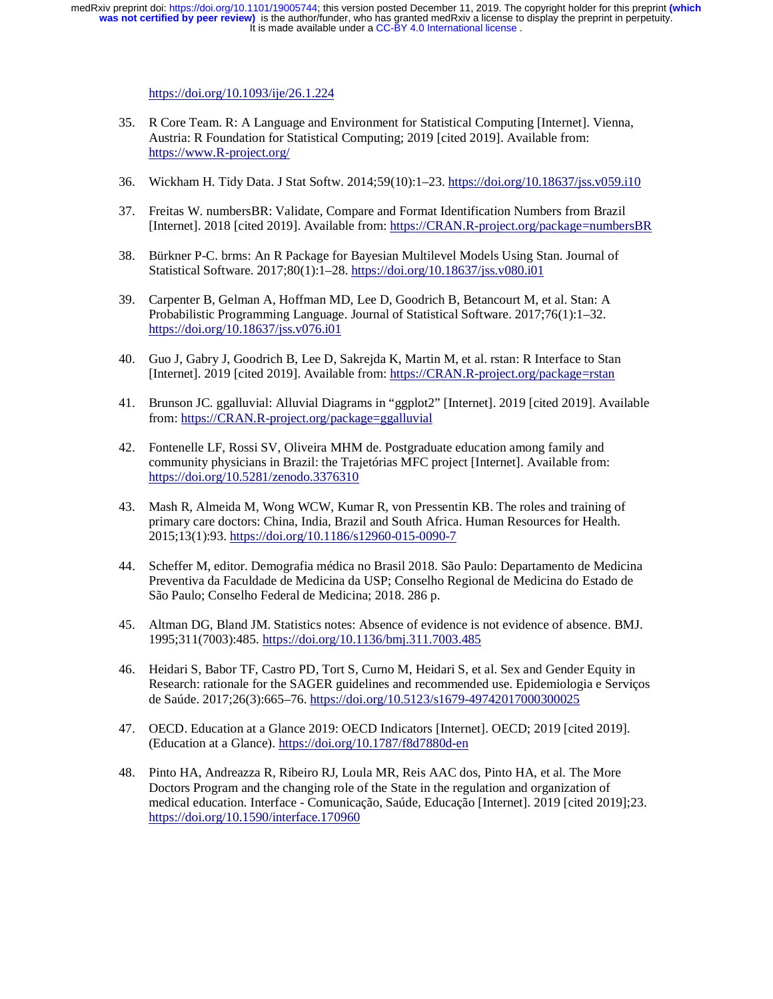https://doi.org/10.1093/ije/26.1.224

- 35. R Core Team. R: A Language and Environment for Statistical Computing [Internet]. Vienna, Austria: R Foundation for Statistical Computing; 2019 [cited 2019]. Available from: https://www.R-project.org/
- 36. Wickham H. Tidy Data. J Stat Softw. 2014;59(10):1–23. https://doi.org/10.18637/jss.v059.i10
- 37. Freitas W. numbersBR: Validate, Compare and Format Identification Numbers from Brazil [Internet]. 2018 [cited 2019]. Available from: https://CRAN.R-project.org/package=numbersBR
- 38. Bürkner P-C. brms: An R Package for Bayesian Multilevel Models Using Stan. Journal of Statistical Software. 2017;80(1):1–28. https://doi.org/10.18637/jss.v080.i01
- 39. Carpenter B, Gelman A, Hoffman MD, Lee D, Goodrich B, Betancourt M, et al. Stan: A Probabilistic Programming Language. Journal of Statistical Software. 2017;76(1):1–32. https://doi.org/10.18637/jss.v076.i01
- 40. Guo J, Gabry J, Goodrich B, Lee D, Sakrejda K, Martin M, et al. rstan: R Interface to Stan [Internet]. 2019 [cited 2019]. Available from: https://CRAN.R-project.org/package=rstan
- 41. Brunson JC. ggalluvial: Alluvial Diagrams in "ggplot2" [Internet]. 2019 [cited 2019]. Available from: https://CRAN.R-project.org/package=ggalluvial
- 42. Fontenelle LF, Rossi SV, Oliveira MHM de. Postgraduate education among family and community physicians in Brazil: the Trajetórias MFC project [Internet]. Available from: https://doi.org/10.5281/zenodo.3376310
- 43. Mash R, Almeida M, Wong WCW, Kumar R, von Pressentin KB. The roles and training of primary care doctors: China, India, Brazil and South Africa. Human Resources for Health. 2015;13(1):93. https://doi.org/10.1186/s12960-015-0090-7
- 44. Scheffer M, editor. Demografia médica no Brasil 2018. São Paulo: Departamento de Medicina Preventiva da Faculdade de Medicina da USP; Conselho Regional de Medicina do Estado de São Paulo; Conselho Federal de Medicina; 2018. 286 p.
- 45. Altman DG, Bland JM. Statistics notes: Absence of evidence is not evidence of absence. BMJ. 1995;311(7003):485. https://doi.org/10.1136/bmj.311.7003.485
- 46. Heidari S, Babor TF, Castro PD, Tort S, Curno M, Heidari S, et al. Sex and Gender Equity in Research: rationale for the SAGER guidelines and recommended use. Epidemiologia e Serviços de Saúde. 2017;26(3):665–76. https://doi.org/10.5123/s1679-49742017000300025
- 47. OECD. Education at a Glance 2019: OECD Indicators [Internet]. OECD; 2019 [cited 2019]. (Education at a Glance). https://doi.org/10.1787/f8d7880d-en
- 48. Pinto HA, Andreazza R, Ribeiro RJ, Loula MR, Reis AAC dos, Pinto HA, et al. The More Doctors Program and the changing role of the State in the regulation and organization of medical education. Interface - Comunicação, Saúde, Educação [Internet]. 2019 [cited 2019];23. https://doi.org/10.1590/interface.170960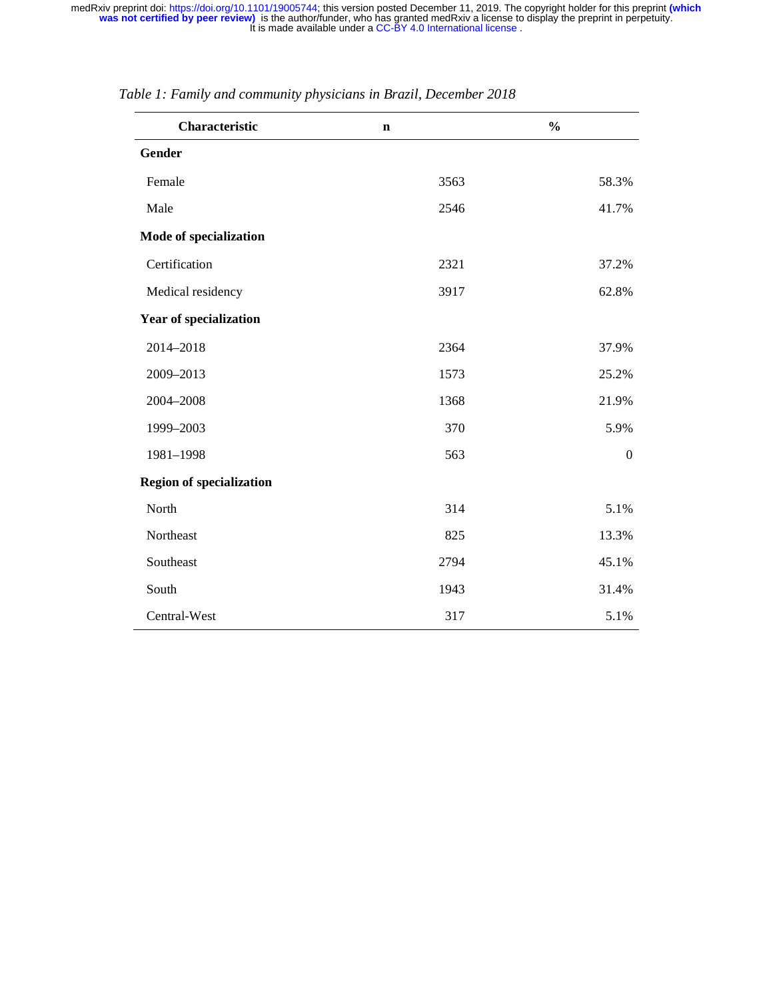| Characteristic                  | $\mathbf n$ | $\frac{0}{0}$  |
|---------------------------------|-------------|----------------|
| Gender                          |             |                |
| Female                          | 3563        | 58.3%          |
| Male                            | 2546        | 41.7%          |
| Mode of specialization          |             |                |
| Certification                   | 2321        | 37.2%          |
| Medical residency               | 3917        | 62.8%          |
| <b>Year of specialization</b>   |             |                |
| 2014-2018                       | 2364        | 37.9%          |
| 2009-2013                       | 1573        | 25.2%          |
| 2004-2008                       | 1368        | 21.9%          |
| 1999-2003                       | 370         | 5.9%           |
| 1981-1998                       | 563         | $\overline{0}$ |
| <b>Region of specialization</b> |             |                |
| North                           | 314         | 5.1%           |
| Northeast                       | 825         | 13.3%          |
| Southeast                       | 2794        | 45.1%          |
| South                           | 1943        | 31.4%          |
| Central-West                    | 317         | 5.1%           |

*Table 1: Family and community physicians in Brazil, December 2018*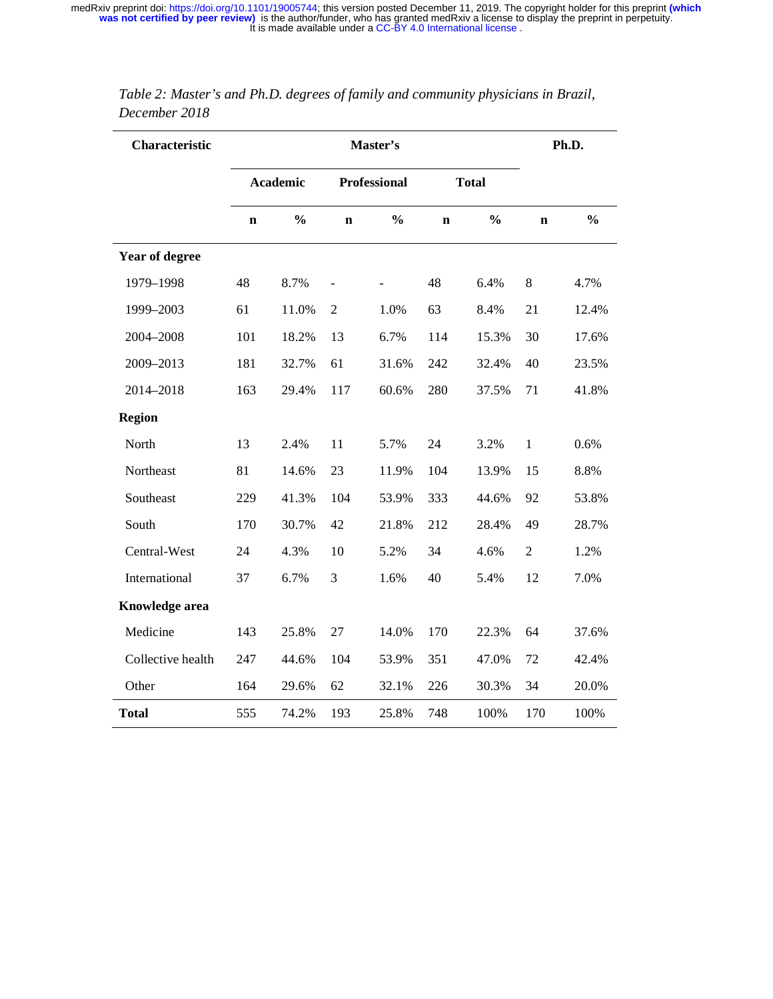| Characteristic        |                 |               | Ph.D.                    |                     |             |               |                |               |
|-----------------------|-----------------|---------------|--------------------------|---------------------|-------------|---------------|----------------|---------------|
|                       | <b>Academic</b> |               |                          | <b>Professional</b> |             | <b>Total</b>  |                |               |
|                       | $\mathbf n$     | $\frac{0}{0}$ | $\mathbf n$              | $\frac{0}{0}$       | $\mathbf n$ | $\frac{0}{0}$ | $\mathbf n$    | $\frac{0}{0}$ |
| <b>Year of degree</b> |                 |               |                          |                     |             |               |                |               |
| 1979-1998             | 48              | 8.7%          | $\overline{\phantom{0}}$ |                     | 48          | 6.4%          | 8              | 4.7%          |
| 1999-2003             | 61              | 11.0%         | $\mathfrak{2}$           | 1.0%                | 63          | 8.4%          | 21             | 12.4%         |
| 2004-2008             | 101             | 18.2%         | 13                       | 6.7%                | 114         | 15.3%         | 30             | 17.6%         |
| 2009-2013             | 181             | 32.7%         | 61                       | 31.6%               | 242         | 32.4%         | 40             | 23.5%         |
| 2014-2018             | 163             | 29.4%         | 117                      | 60.6%               | 280         | 37.5%         | 71             | 41.8%         |
| <b>Region</b>         |                 |               |                          |                     |             |               |                |               |
| North                 | 13              | 2.4%          | 11                       | 5.7%                | 24          | 3.2%          | $\,1$          | 0.6%          |
| Northeast             | 81              | 14.6%         | 23                       | 11.9%               | 104         | 13.9%         | 15             | 8.8%          |
| Southeast             | 229             | 41.3%         | 104                      | 53.9%               | 333         | 44.6%         | 92             | 53.8%         |
| South                 | 170             | 30.7%         | 42                       | 21.8%               | 212         | 28.4%         | 49             | 28.7%         |
| Central-West          | 24              | 4.3%          | 10                       | 5.2%                | 34          | 4.6%          | $\mathfrak{2}$ | 1.2%          |
| International         | 37              | 6.7%          | 3                        | 1.6%                | 40          | 5.4%          | 12             | 7.0%          |
| <b>Knowledge area</b> |                 |               |                          |                     |             |               |                |               |
| Medicine              | 143             | 25.8%         | 27                       | 14.0%               | 170         | 22.3%         | 64             | 37.6%         |
| Collective health     | 247             | 44.6%         | 104                      | 53.9%               | 351         | 47.0%         | 72             | 42.4%         |
| Other                 | 164             | 29.6%         | 62                       | 32.1%               | 226         | 30.3%         | 34             | 20.0%         |
| <b>Total</b>          | 555             | 74.2%         | 193                      | 25.8%               | 748         | 100%          | 170            | 100%          |

*Table 2: Master's and Ph.D. degrees of family and community physicians in Brazil, December 2018*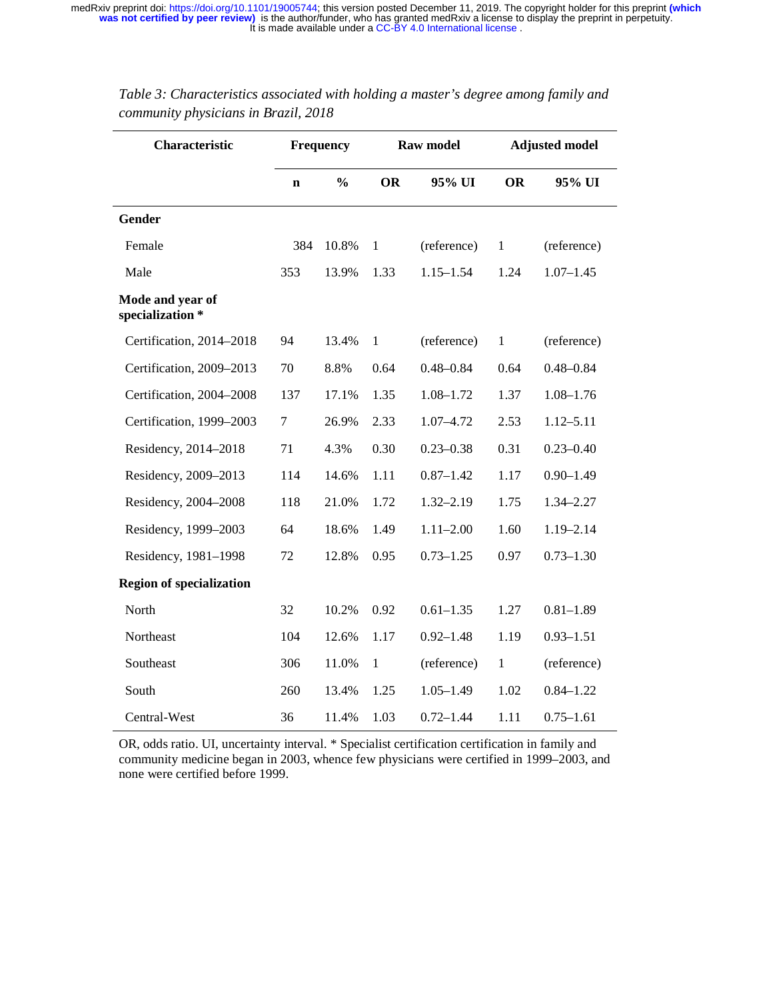| Characteristic                       |             | <b>Raw model</b><br><b>Frequency</b> |              | <b>Adjusted model</b> |              |               |
|--------------------------------------|-------------|--------------------------------------|--------------|-----------------------|--------------|---------------|
|                                      | $\mathbf n$ | $\frac{0}{0}$                        | <b>OR</b>    | 95% UI                | <b>OR</b>    | 95% UI        |
| Gender                               |             |                                      |              |                       |              |               |
| Female                               | 384         | 10.8%                                | $\mathbf{1}$ | (reference)           | $\mathbf{1}$ | (reference)   |
| Male                                 | 353         | 13.9%                                | 1.33         | $1.15 - 1.54$         | 1.24         | $1.07 - 1.45$ |
| Mode and year of<br>specialization * |             |                                      |              |                       |              |               |
| Certification, 2014-2018             | 94          | 13.4%                                | $\mathbf{1}$ | (reference)           | $\mathbf{1}$ | (reference)   |
| Certification, 2009-2013             | 70          | 8.8%                                 | 0.64         | $0.48 - 0.84$         | 0.64         | $0.48 - 0.84$ |
| Certification, 2004-2008             | 137         | 17.1%                                | 1.35         | $1.08 - 1.72$         | 1.37         | $1.08 - 1.76$ |
| Certification, 1999-2003             | 7           | 26.9%                                | 2.33         | $1.07 - 4.72$         | 2.53         | $1.12 - 5.11$ |
| Residency, 2014-2018                 | 71          | 4.3%                                 | 0.30         | $0.23 - 0.38$         | 0.31         | $0.23 - 0.40$ |
| Residency, 2009-2013                 | 114         | 14.6%                                | 1.11         | $0.87 - 1.42$         | 1.17         | $0.90 - 1.49$ |
| Residency, 2004-2008                 | 118         | 21.0%                                | 1.72         | $1.32 - 2.19$         | 1.75         | 1.34-2.27     |
| Residency, 1999-2003                 | 64          | 18.6%                                | 1.49         | $1.11 - 2.00$         | 1.60         | $1.19 - 2.14$ |
| Residency, 1981-1998                 | 72          | 12.8%                                | 0.95         | $0.73 - 1.25$         | 0.97         | $0.73 - 1.30$ |
| <b>Region of specialization</b>      |             |                                      |              |                       |              |               |
| North                                | 32          | 10.2%                                | 0.92         | $0.61 - 1.35$         | 1.27         | $0.81 - 1.89$ |
| Northeast                            | 104         | 12.6%                                | 1.17         | $0.92 - 1.48$         | 1.19         | $0.93 - 1.51$ |
| Southeast                            | 306         | 11.0%                                | $\mathbf{1}$ | (reference)           | $\mathbf{1}$ | (reference)   |
| South                                | 260         | 13.4%                                | 1.25         | $1.05 - 1.49$         | 1.02         | $0.84 - 1.22$ |
| Central-West                         | 36          | 11.4%                                | 1.03         | $0.72 - 1.44$         | 1.11         | $0.75 - 1.61$ |

*Table 3: Characteristics associated with holding a master's degree among family and community physicians in Brazil, 2018* 

OR, odds ratio. UI, uncertainty interval. \* Specialist certification certification in family and community medicine began in 2003, whence few physicians were certified in 1999–2003, and none were certified before 1999.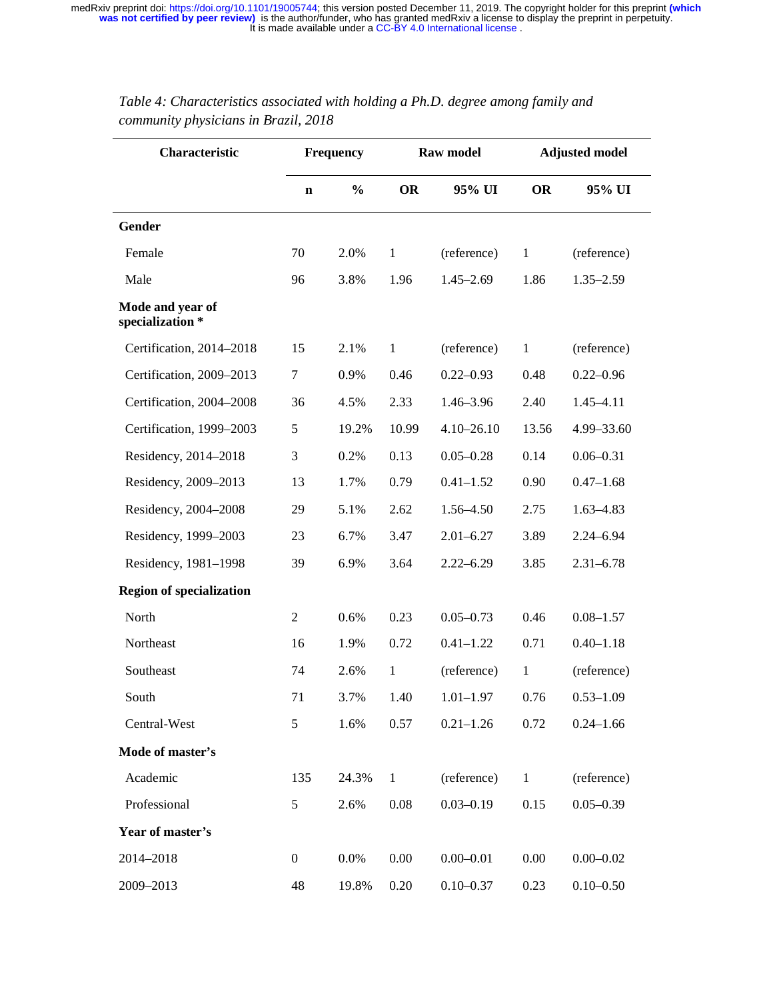| Characteristic                       | Frequency        |               | <b>Raw model</b> |                | <b>Adjusted model</b> |               |
|--------------------------------------|------------------|---------------|------------------|----------------|-----------------------|---------------|
|                                      | $\mathbf n$      | $\frac{0}{0}$ | <b>OR</b>        | 95% UI         | <b>OR</b>             | 95% UI        |
| Gender                               |                  |               |                  |                |                       |               |
| Female                               | 70               | 2.0%          | $\mathbf{1}$     | (reference)    | $\mathbf{1}$          | (reference)   |
| Male                                 | 96               | 3.8%          | 1.96             | $1.45 - 2.69$  | 1.86                  | $1.35 - 2.59$ |
| Mode and year of<br>specialization * |                  |               |                  |                |                       |               |
| Certification, 2014-2018             | 15               | 2.1%          | $\mathbf{1}$     | (reference)    | $\mathbf{1}$          | (reference)   |
| Certification, 2009-2013             | $\tau$           | 0.9%          | 0.46             | $0.22 - 0.93$  | 0.48                  | $0.22 - 0.96$ |
| Certification, 2004-2008             | 36               | 4.5%          | 2.33             | $1.46 - 3.96$  | 2.40                  | $1.45 - 4.11$ |
| Certification, 1999-2003             | 5                | 19.2%         | 10.99            | $4.10 - 26.10$ | 13.56                 | 4.99-33.60    |
| Residency, 2014-2018                 | 3                | 0.2%          | 0.13             | $0.05 - 0.28$  | 0.14                  | $0.06 - 0.31$ |
| Residency, 2009-2013                 | 13               | 1.7%          | 0.79             | $0.41 - 1.52$  | 0.90                  | $0.47 - 1.68$ |
| Residency, 2004-2008                 | 29               | 5.1%          | 2.62             | 1.56-4.50      | 2.75                  | $1.63 - 4.83$ |
| Residency, 1999-2003                 | 23               | 6.7%          | 3.47             | $2.01 - 6.27$  | 3.89                  | $2.24 - 6.94$ |
| Residency, 1981-1998                 | 39               | 6.9%          | 3.64             | $2.22 - 6.29$  | 3.85                  | $2.31 - 6.78$ |
| <b>Region of specialization</b>      |                  |               |                  |                |                       |               |
| North                                | $\mathbf{2}$     | 0.6%          | 0.23             | $0.05 - 0.73$  | 0.46                  | $0.08 - 1.57$ |
| Northeast                            | 16               | 1.9%          | 0.72             | $0.41 - 1.22$  | 0.71                  | $0.40 - 1.18$ |
| Southeast                            | 74               | 2.6%          | $\mathbf{1}$     | (reference)    | $\mathbf{1}$          | (reference)   |
| South                                | 71               | 3.7%          | 1.40             | $1.01 - 1.97$  | 0.76                  | $0.53 - 1.09$ |
| Central-West                         | 5                | 1.6%          | 0.57             | $0.21 - 1.26$  | 0.72                  | $0.24 - 1.66$ |
| Mode of master's                     |                  |               |                  |                |                       |               |
| Academic                             | 135              | 24.3%         | $\mathbf{1}$     | (reference)    | $\mathbf{1}$          | (reference)   |
| Professional                         | 5                | 2.6%          | 0.08             | $0.03 - 0.19$  | 0.15                  | $0.05 - 0.39$ |
| Year of master's                     |                  |               |                  |                |                       |               |
| 2014-2018                            | $\boldsymbol{0}$ | 0.0%          | 0.00             | $0.00 - 0.01$  | 0.00                  | $0.00 - 0.02$ |
| 2009-2013                            | 48               | 19.8%         | 0.20             | $0.10 - 0.37$  | 0.23                  | $0.10 - 0.50$ |

### *Table 4: Characteristics associated with holding a Ph.D. degree among family and community physicians in Brazil, 2018*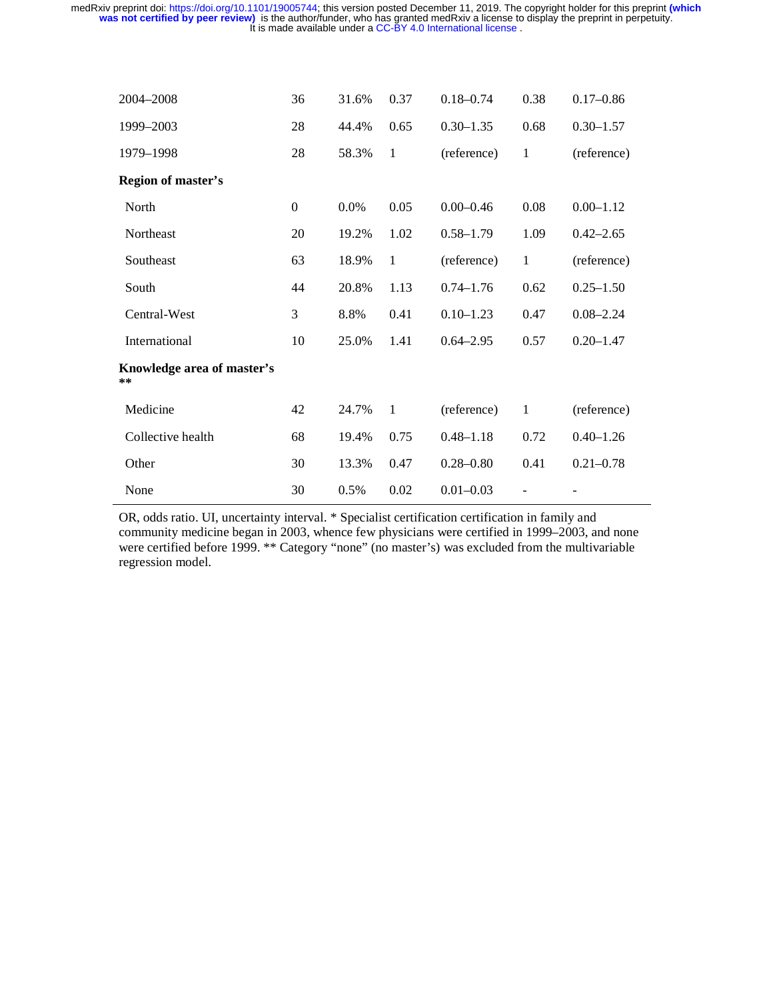| 2004-2008                        | 36             | 31.6% | 0.37         | $0.18 - 0.74$ | 0.38         | $0.17 - 0.86$ |
|----------------------------------|----------------|-------|--------------|---------------|--------------|---------------|
| 1999-2003                        | 28             | 44.4% | 0.65         | $0.30 - 1.35$ | 0.68         | $0.30 - 1.57$ |
| 1979-1998                        | 28             | 58.3% | $\mathbf{1}$ | (reference)   | $\mathbf{1}$ | (reference)   |
| <b>Region of master's</b>        |                |       |              |               |              |               |
| North                            | $\overline{0}$ | 0.0%  | 0.05         | $0.00 - 0.46$ | 0.08         | $0.00 - 1.12$ |
| Northeast                        | 20             | 19.2% | 1.02         | $0.58 - 1.79$ | 1.09         | $0.42 - 2.65$ |
| Southeast                        | 63             | 18.9% | $\mathbf{1}$ | (reference)   | $\mathbf{1}$ | (reference)   |
| South                            | 44             | 20.8% | 1.13         | $0.74 - 1.76$ | 0.62         | $0.25 - 1.50$ |
| Central-West                     | 3              | 8.8%  | 0.41         | $0.10 - 1.23$ | 0.47         | $0.08 - 2.24$ |
| International                    | 10             | 25.0% | 1.41         | $0.64 - 2.95$ | 0.57         | $0.20 - 1.47$ |
| Knowledge area of master's<br>** |                |       |              |               |              |               |
| Medicine                         | 42             | 24.7% | $\mathbf{1}$ | (reference)   | $\mathbf{1}$ | (reference)   |
| Collective health                | 68             | 19.4% | 0.75         | $0.48 - 1.18$ | 0.72         | $0.40 - 1.26$ |
| Other                            | 30             | 13.3% | 0.47         | $0.28 - 0.80$ | 0.41         | $0.21 - 0.78$ |
| None                             | 30             | 0.5%  | 0.02         | $0.01 - 0.03$ |              |               |

OR, odds ratio. UI, uncertainty interval. \* Specialist certification certification in family and community medicine began in 2003, whence few physicians were certified in 1999–2003, and none were certified before 1999. \*\* Category "none" (no master's) was excluded from the multivariable regression model.